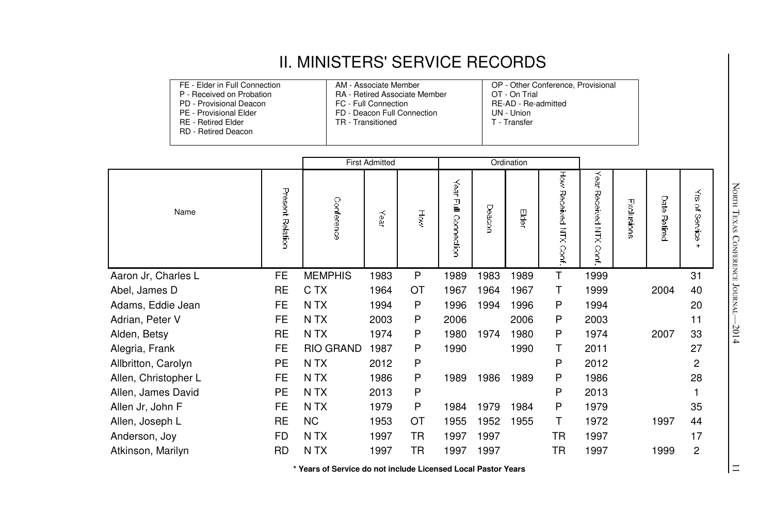## II. MINISTERS' SERVICE RECORDS

| FE - Elder in Full Connection | AM - Associate Member                | OP - Other Conference, Provisional |
|-------------------------------|--------------------------------------|------------------------------------|
| P - Received on Probation     | <b>RA</b> - Retired Associate Member | OT - On Trial                      |
| PD - Provisional Deacon       | FC - Full Connection                 | RE-AD - Re-admitted                |
| PE - Provisional Elder        | FD - Deacon Full Connection          | UN - Union                         |
| <b>RE</b> - Retired Elder     | TR - Transitioned                    | T - Transfer                       |
| <b>RD</b> - Retired Deacon    |                                      |                                    |
|                               |                                      |                                    |

|                      |                  | <b>First Admitted</b> |      |    |                             | Ordination |       |                       |                               |            |                 |                    |
|----------------------|------------------|-----------------------|------|----|-----------------------------|------------|-------|-----------------------|-------------------------------|------------|-----------------|--------------------|
| Name                 | Present Relation | Conference            | Year | Ř  | Уеаг<br>$\Xi$<br>Connection | Deacor     | Elder | How Received NTX Cont | Year<br>Received NTX<br>Conf. | Exclusions | Date<br>Retired | శ<br>્ર<br>Service |
| Aaron Jr, Charles L  | FE               | <b>MEMPHIS</b>        | 1983 | P  | 1989                        | 1983       | 1989  | T.                    | 1999                          |            |                 | 31                 |
| Abel, James D        | RE               | C TX                  | 1964 | ОT | 1967                        | 1964       | 1967  | т                     | 1999                          |            | 2004            | 40                 |
| Adams, Eddie Jean    | FE               | N TX                  | 1994 | P  | 1996                        | 1994       | 1996  | P                     | 1994                          |            |                 | 20                 |
| Adrian, Peter V      | FE               | N TX                  | 2003 | P  | 2006                        |            | 2006  | P                     | 2003                          |            |                 | 11                 |
| Alden, Betsy         | RE               | N TX                  | 1974 | P  | 1980                        | 1974       | 1980  | P                     | 1974                          |            | 2007            | 33                 |
| Alegria, Frank       | FE               | <b>RIO GRAND</b>      | 1987 | P  | 1990                        |            | 1990  | т                     | 2011                          |            |                 | 27                 |
| Allbritton, Carolyn  | PE               | N TX                  | 2012 | P  |                             |            |       | P                     | 2012                          |            |                 | 2                  |
| Allen, Christopher L | FE               | N TX                  | 1986 | P  | 1989                        | 1986       | 1989  | P                     | 1986                          |            |                 | 28                 |
| Allen, James David   | PE               | N TX                  | 2013 | P  |                             |            |       | P                     | 2013                          |            |                 |                    |
| Allen Jr, John F     | FE               | N TX                  | 1979 | P  | 1984                        | 1979       | 1984  | P                     | 1979                          |            |                 | 35                 |
| Allen, Joseph L      | RE               | NC.                   | 1953 | ОT | 1955                        | 1952       | 1955  | т                     | 1972                          |            | 1997            | 44                 |
| Anderson, Joy        | FD               | N TX                  | 1997 | TR | 1997                        | 1997       |       | TR                    | 1997                          |            |                 | 17                 |
| Atkinson, Marilyn    | <b>RD</b>        | N TX                  | 1997 | TR | 1997                        | 1997       |       | TR                    | 1997                          |            | 1999            | 2                  |

**\* Years of Service do not include Licensed Local Pastor Years**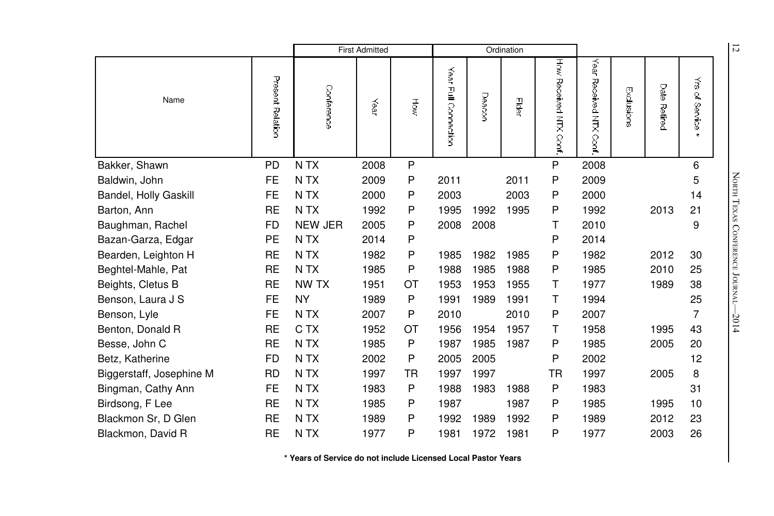|                          |                  | <b>First Admitted</b> |      |    |                         |        | Ordination |                       |                                     |            |                        |                                        | $\overline{z}$             |
|--------------------------|------------------|-----------------------|------|----|-------------------------|--------|------------|-----------------------|-------------------------------------|------------|------------------------|----------------------------------------|----------------------------|
| Name                     | Present Relation | Conference            | Year | Ηğ | Year<br>Full Connection | Deacon | Elder      | How Received NTX Conf | Year<br>Received NTX<br><b>Cont</b> | Exclusions | Date<br><b>Retired</b> | $\vec{\tilde{\omega}}$<br>٩<br>Service |                            |
| Bakker, Shawn            | <b>PD</b>        | N TX                  | 2008 | P  |                         |        |            | P                     | 2008                                |            |                        | 6                                      |                            |
| Baldwin, John            | <b>FE</b>        | N TX                  | 2009 | P  | 2011                    |        | 2011       | P                     | 2009                                |            |                        | 5                                      | NORTH TEXAS                |
| Bandel, Holly Gaskill    | FE               | N TX                  | 2000 | P  | 2003                    |        | 2003       | P                     | 2000                                |            |                        | 14                                     |                            |
| Barton, Ann              | <b>RE</b>        | N <sub>T</sub> X      | 1992 | P  | 1995                    | 1992   | 1995       | P                     | 1992                                |            | 2013                   | 21                                     |                            |
| Baughman, Rachel         | <b>FD</b>        | <b>NEW JER</b>        | 2005 | P  | 2008                    | 2008   |            | Τ                     | 2010                                |            |                        | 9                                      |                            |
| Bazan-Garza, Edgar       | PE               | N TX                  | 2014 | P  |                         |        |            | P                     | 2014                                |            |                        |                                        |                            |
| Bearden, Leighton H      | <b>RE</b>        | N TX                  | 1982 | P  | 1985                    | 1982   | 1985       | P                     | 1982                                |            | 2012                   | 30                                     |                            |
| Beghtel-Mahle, Pat       | <b>RE</b>        | N <sub>T</sub> X      | 1985 | P  | 1988                    | 1985   | 1988       | P                     | 1985                                |            | 2010                   | 25                                     |                            |
| Beights, Cletus B        | <b>RE</b>        | NW TX                 | 1951 | ОT | 1953                    | 1953   | 1955       | Τ                     | 1977                                |            | 1989                   | 38                                     | <b>CONFERENCE JOURNAL-</b> |
| Benson, Laura J S        | <b>FE</b>        | <b>NY</b>             | 1989 | P  | 1991                    | 1989   | 1991       | Τ                     | 1994                                |            |                        | 25                                     |                            |
| Benson, Lyle             | <b>FE</b>        | N TX                  | 2007 | P  | 2010                    |        | 2010       | P                     | 2007                                |            |                        | 7                                      | $-2014$                    |
| Benton, Donald R         | <b>RE</b>        | C TX                  | 1952 | ОT | 1956                    | 1954   | 1957       | Τ                     | 1958                                |            | 1995                   | 43                                     |                            |
| Besse, John C            | <b>RE</b>        | N TX                  | 1985 | P  | 1987                    | 1985   | 1987       | P                     | 1985                                |            | 2005                   | 20                                     |                            |
| Betz, Katherine          | FD               | N TX                  | 2002 | P  | 2005                    | 2005   |            | P                     | 2002                                |            |                        | 12                                     |                            |
| Biggerstaff, Josephine M | <b>RD</b>        | N <sub>T</sub> X      | 1997 | TR | 1997                    | 1997   |            | TR                    | 1997                                |            | 2005                   | 8                                      |                            |
| Bingman, Cathy Ann       | <b>FE</b>        | N <sub>T</sub> X      | 1983 | P  | 1988                    | 1983   | 1988       | P                     | 1983                                |            |                        | 31                                     |                            |
| Birdsong, F Lee          | <b>RE</b>        | N <sub>T</sub> X      | 1985 | P  | 1987                    |        | 1987       | P                     | 1985                                |            | 1995                   | 10                                     |                            |
| Blackmon Sr, D Glen      | <b>RE</b>        | N TX                  | 1989 | P  | 1992                    | 1989   | 1992       | P                     | 1989                                |            | 2012                   | 23                                     |                            |
| Blackmon, David R        | <b>RE</b>        | N TX                  | 1977 | P  | 1981                    | 1972   | 1981       | P                     | 1977                                |            | 2003                   | 26                                     |                            |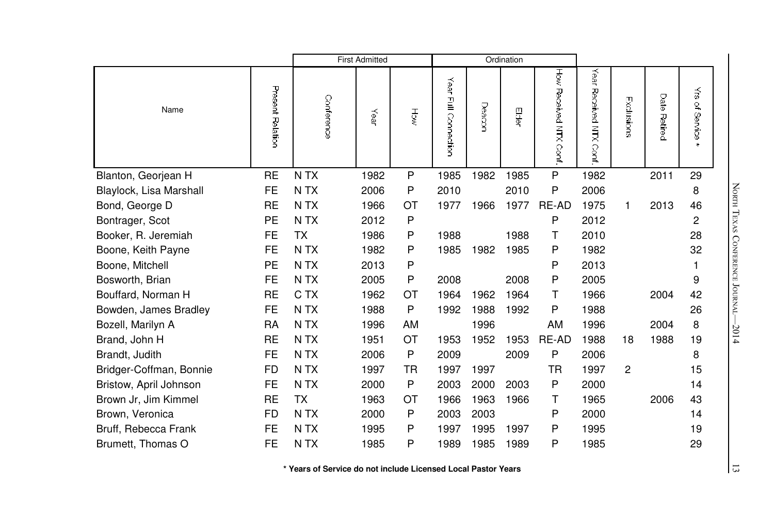|                         |                  |                  | <b>First Admitted</b> |           |                         |        | Ordination |                       |                              |                |                 |                                 |
|-------------------------|------------------|------------------|-----------------------|-----------|-------------------------|--------|------------|-----------------------|------------------------------|----------------|-----------------|---------------------------------|
| Name                    | Present Relation | Conference       | Year                  | Hộ        | Year<br>Full Connection | Deacon | 四间         | How Received NTX Cont | Year<br>Received NTX<br>Conf | Exclusions     | Date<br>Retired | $\vec{\tilde{s}}$<br>of Service |
| Blanton, Georjean H     | <b>RE</b>        | N TX             | 1982                  | P         | 1985                    | 1982   | 1985       | P                     | 1982                         |                | 2011            | 29                              |
| Blaylock, Lisa Marshall | FE               | N TX             | 2006                  | P         | 2010                    |        | 2010       | P                     | 2006                         |                |                 | 8                               |
| Bond, George D          | <b>RE</b>        | N <sub>T</sub> X | 1966                  | OT        | 1977                    | 1966   | 1977       | RE-AD                 | 1975                         | 1              | 2013            | 46                              |
| Bontrager, Scot         | PE               | N <sub>T</sub> X | 2012                  | P         |                         |        |            | P                     | 2012                         |                |                 | 2                               |
| Booker, R. Jeremiah     | <b>FE</b>        | <b>TX</b>        | 1986                  | P         | 1988                    |        | 1988       | т                     | 2010                         |                |                 | 28                              |
| Boone, Keith Payne      | <b>FE</b>        | N <sub>T</sub> X | 1982                  | P         | 1985                    | 1982   | 1985       | P                     | 1982                         |                |                 | 32                              |
| Boone, Mitchell         | PE               | N TX             | 2013                  | P         |                         |        |            | P                     | 2013                         |                |                 | 1                               |
| Bosworth, Brian         | <b>FE</b>        | N <sub>T</sub> X | 2005                  | P         | 2008                    |        | 2008       | P                     | 2005                         |                |                 | 9                               |
| Bouffard, Norman H      | <b>RE</b>        | C TX             | 1962                  | ОT        | 1964                    | 1962   | 1964       | т                     | 1966                         |                | 2004            | 42                              |
| Bowden, James Bradley   | <b>FE</b>        | N TX             | 1988                  | P         | 1992                    | 1988   | 1992       | P                     | 1988                         |                |                 | 26                              |
| Bozell, Marilyn A       | <b>RA</b>        | N <sub>T</sub> X | 1996                  | AM        |                         | 1996   |            | AM                    | 1996                         |                | 2004            | 8                               |
| Brand, John H           | <b>RE</b>        | N <sub>T</sub> X | 1951                  | <b>OT</b> | 1953                    | 1952   | 1953       | RE-AD                 | 1988                         | 18             | 1988            | 19                              |
| Brandt, Judith          | <b>FE</b>        | N <sub>T</sub> X | 2006                  | P         | 2009                    |        | 2009       | P                     | 2006                         |                |                 | 8                               |
| Bridger-Coffman, Bonnie | <b>FD</b>        | N TX             | 1997                  | TR        | 1997                    | 1997   |            | <b>TR</b>             | 1997                         | $\overline{c}$ |                 | 15                              |
| Bristow, April Johnson  | <b>FE</b>        | N <sub>T</sub> X | 2000                  | P         | 2003                    | 2000   | 2003       | P                     | 2000                         |                |                 | 14                              |
| Brown Jr, Jim Kimmel    | <b>RE</b>        | <b>TX</b>        | 1963                  | ОT        | 1966                    | 1963   | 1966       | т                     | 1965                         |                | 2006            | 43                              |
| Brown, Veronica         | <b>FD</b>        | N <sub>T</sub> X | 2000                  | P         | 2003                    | 2003   |            | P                     | 2000                         |                |                 | 14                              |
| Bruff, Rebecca Frank    | <b>FE</b>        | N <sub>T</sub> X | 1995                  | P         | 1997                    | 1995   | 1997       | P                     | 1995                         |                |                 | 19                              |
| Brumett, Thomas O       | <b>FE</b>        | N <sub>T</sub> X | 1985                  | P         | 1989                    | 1985   | 1989       | P                     | 1985                         |                |                 | 29                              |

 $\frac{1}{3}$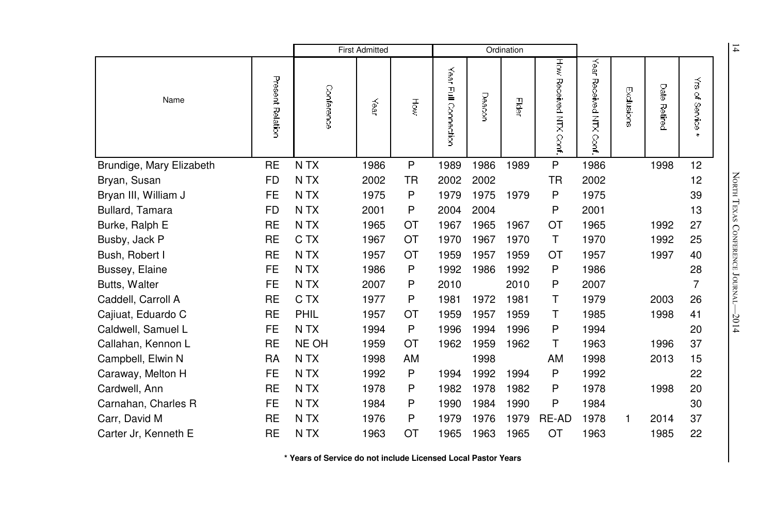|                          |                  | <b>First Admitted</b> |      |         |                         | Ordination |       |                          |                               |            |                        | $\overline{1}$                    |                                 |
|--------------------------|------------------|-----------------------|------|---------|-------------------------|------------|-------|--------------------------|-------------------------------|------------|------------------------|-----------------------------------|---------------------------------|
| Name                     | Present Relation | Conference            | Year | Hộ      | Year<br>Full Connection | Deacor     | Eidei | How Received NTX<br>Sont | Year<br>Received NTX<br>Conf. | Exclusions | Date<br><b>Petired</b> | $\vec{5}$<br>્ર<br><b>Service</b> |                                 |
| Brundige, Mary Elizabeth | <b>RE</b>        | N TX                  | 1986 | $\sf P$ | 1989                    | 1986       | 1989  | P                        | 1986                          |            | 1998                   | 12                                |                                 |
| Bryan, Susan             | <b>FD</b>        | N <sub>T</sub> X      | 2002 | ΤR      | 2002                    | 2002       |       | <b>TR</b>                | 2002                          |            |                        | 12                                | NORTH TEXAS CONFERENCE JOURNAL- |
| Bryan III, William J     | FE.              | N <sub>T</sub> X      | 1975 | P       | 1979                    | 1975       | 1979  | P                        | 1975                          |            |                        | 39                                |                                 |
| Bullard, Tamara          | <b>FD</b>        | N TX                  | 2001 | P       | 2004                    | 2004       |       | P                        | 2001                          |            |                        | 13                                |                                 |
| Burke, Ralph E           | <b>RE</b>        | N <sub>T</sub> X      | 1965 | ОT      | 1967                    | 1965       | 1967  | OT                       | 1965                          |            | 1992                   | 27                                |                                 |
| Busby, Jack P            | <b>RE</b>        | C TX                  | 1967 | OT      | 1970                    | 1967       | 1970  | $\mathsf T$              | 1970                          |            | 1992                   | 25                                |                                 |
| Bush, Robert I           | <b>RE</b>        | N <sub>T</sub> X      | 1957 | ОT      | 1959                    | 1957       | 1959  | ОT                       | 1957                          |            | 1997                   | 40                                |                                 |
| Bussey, Elaine           | FE               | N TX                  | 1986 | P       | 1992                    | 1986       | 1992  | P                        | 1986                          |            |                        | 28                                |                                 |
| Butts, Walter            | <b>FE</b>        | N <sub>T</sub> X      | 2007 | P       | 2010                    |            | 2010  | P                        | 2007                          |            |                        | 7                                 |                                 |
| Caddell, Carroll A       | <b>RE</b>        | C TX                  | 1977 | P       | 1981                    | 1972       | 1981  | т                        | 1979                          |            | 2003                   | 26                                |                                 |
| Cajiuat, Eduardo C       | <b>RE</b>        | PHIL                  | 1957 | ОT      | 1959                    | 1957       | 1959  | т                        | 1985                          |            | 1998                   | 41                                | $-2014$                         |
| Caldwell, Samuel L       | FE               | N TX                  | 1994 | P       | 1996                    | 1994       | 1996  | P                        | 1994                          |            |                        | 20                                |                                 |
| Callahan, Kennon L       | <b>RE</b>        | NE OH                 | 1959 | OT      | 1962                    | 1959       | 1962  | Τ                        | 1963                          |            | 1996                   | 37                                |                                 |
| Campbell, Elwin N        | RA               | N TX                  | 1998 | AM      |                         | 1998       |       | AM                       | 1998                          |            | 2013                   | 15                                |                                 |
| Caraway, Melton H        | <b>FE</b>        | N TX                  | 1992 | P       | 1994                    | 1992       | 1994  | P                        | 1992                          |            |                        | 22                                |                                 |
| Cardwell, Ann            | <b>RE</b>        | N <sub>T</sub> X      | 1978 | P       | 1982                    | 1978       | 1982  | P                        | 1978                          |            | 1998                   | 20                                |                                 |
| Carnahan, Charles R      | <b>FE</b>        | N <sub>T</sub> X      | 1984 | P       | 1990                    | 1984       | 1990  | P                        | 1984                          |            |                        | 30                                |                                 |
| Carr, David M            | <b>RE</b>        | N TX                  | 1976 | P       | 1979                    | 1976       | 1979  | RE-AD                    | 1978                          | 1          | 2014                   | 37                                |                                 |
| Carter Jr, Kenneth E     | <b>RE</b>        | N TX                  | 1963 | ОT      | 1965                    | 1963       | 1965  | OT                       | 1963                          |            | 1985                   | 22                                |                                 |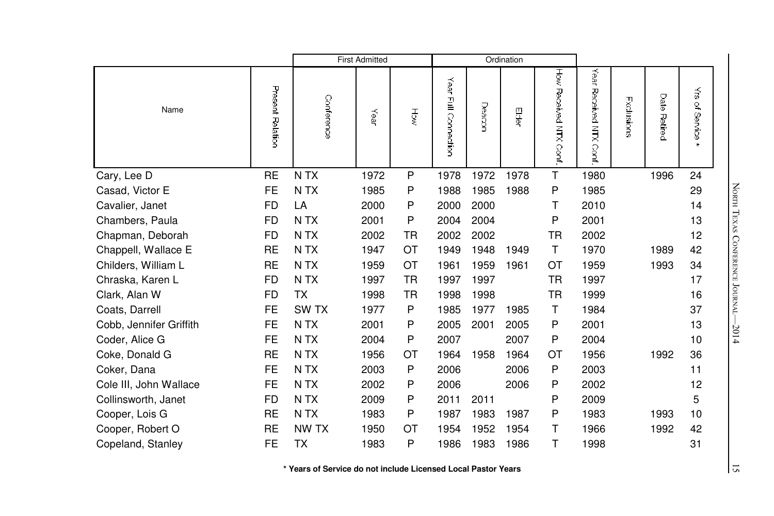|                         |                  |                  | <b>First Admitted</b> |           |                         |       | Ordination |                       |                              |            |                        |                            |
|-------------------------|------------------|------------------|-----------------------|-----------|-------------------------|-------|------------|-----------------------|------------------------------|------------|------------------------|----------------------------|
| Name                    | Present Relation | Conference       | Year                  | हु        | Year<br>Full Connection | Deacr | 景          | How Hecerved NHX Cort | Year<br>Received NTX<br>Conf | Exclusions | Date<br><b>Retired</b> | ₹<br>of Service<br>$\star$ |
| Cary, Lee D             | <b>RE</b>        | N TX             | 1972                  | P         | 1978                    | 1972  | 1978       | T                     | 1980                         |            | 1996                   | 24                         |
| Casad, Victor E         | <b>FE</b>        | N <sub>T</sub> X | 1985                  | P         | 1988                    | 1985  | 1988       | P                     | 1985                         |            |                        | 29                         |
| Cavalier, Janet         | <b>FD</b>        | LA               | 2000                  | P         | 2000                    | 2000  |            | т                     | 2010                         |            |                        | 14                         |
| Chambers, Paula         | FD               | N <sub>T</sub> X | 2001                  | P         | 2004                    | 2004  |            | P                     | 2001                         |            |                        | 13                         |
| Chapman, Deborah        | <b>FD</b>        | N TX             | 2002                  | <b>TR</b> | 2002                    | 2002  |            | TR.                   | 2002                         |            |                        | 12                         |
| Chappell, Wallace E     | <b>RE</b>        | N TX             | 1947                  | OT        | 1949                    | 1948  | 1949       | T.                    | 1970                         |            | 1989                   | 42                         |
| Childers, William L     | RE               | N TX             | 1959                  | OT        | 1961                    | 1959  | 1961       | ОT                    | 1959                         |            | 1993                   | 34                         |
| Chraska, Karen L        | <b>FD</b>        | N <sub>T</sub> X | 1997                  | <b>TR</b> | 1997                    | 1997  |            | <b>TR</b>             | 1997                         |            |                        | 17                         |
| Clark, Alan W           | <b>FD</b>        | <b>TX</b>        | 1998                  | <b>TR</b> | 1998                    | 1998  |            | <b>TR</b>             | 1999                         |            |                        | 16                         |
| Coats, Darrell          | <b>FE</b>        | SW <sub>TX</sub> | 1977                  | P         | 1985                    | 1977  | 1985       | т                     | 1984                         |            |                        | 37                         |
| Cobb, Jennifer Griffith | <b>FE</b>        | N TX             | 2001                  | P         | 2005                    | 2001  | 2005       | Ρ                     | 2001                         |            |                        | 13                         |
| Coder, Alice G          | <b>FE</b>        | N <sub>T</sub> X | 2004                  | P         | 2007                    |       | 2007       | P                     | 2004                         |            |                        | 10                         |
| Coke, Donald G          | <b>RE</b>        | N TX             | 1956                  | ОT        | 1964                    | 1958  | 1964       | ОT                    | 1956                         |            | 1992                   | 36                         |
| Coker, Dana             | <b>FE</b>        | N TX             | 2003                  | P         | 2006                    |       | 2006       | P                     | 2003                         |            |                        | 11                         |
| Cole III, John Wallace  | <b>FE</b>        | N TX             | 2002                  | P         | 2006                    |       | 2006       | Ρ                     | 2002                         |            |                        | 12                         |
| Collinsworth, Janet     | FD.              | N TX             | 2009                  | P         | 2011                    | 2011  |            | P                     | 2009                         |            |                        | $\sqrt{5}$                 |
| Cooper, Lois G          | <b>RE</b>        | N TX             | 1983                  | P         | 1987                    | 1983  | 1987       | P                     | 1983                         |            | 1993                   | 10                         |
| Cooper, Robert O        | <b>RE</b>        | NW TX            | 1950                  | OT        | 1954                    | 1952  | 1954       | т                     | 1966                         |            | 1992                   | 42                         |
| Copeland, Stanley       | <b>FE</b>        | <b>TX</b>        | 1983                  | P         | 1986                    | 1983  | 1986       | т                     | 1998                         |            |                        | 31                         |

North TEXAS CONFERE e Journal—2014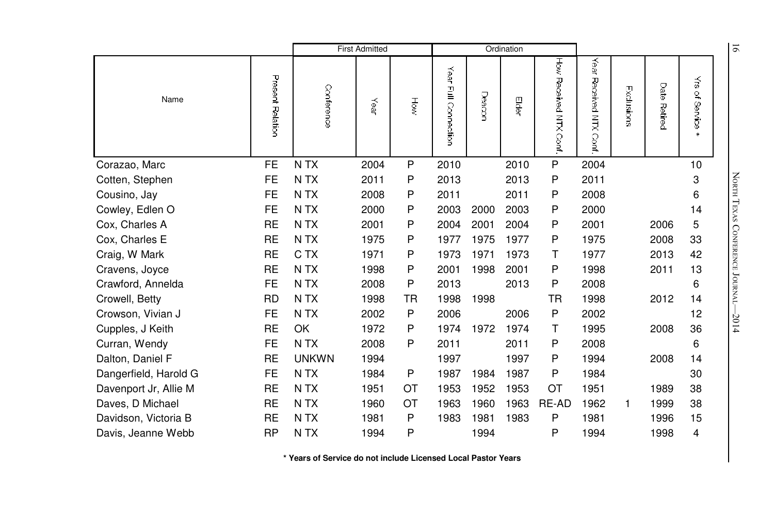|                       |                  | <b>First Admitted</b> |      |    | Ordination              |        |      |                          |                               |            | $\overline{9}$  |                                   |                                 |
|-----------------------|------------------|-----------------------|------|----|-------------------------|--------|------|--------------------------|-------------------------------|------------|-----------------|-----------------------------------|---------------------------------|
| Name                  | Present Relation | Conference            | Year | HÕ | Year<br>Full Connection | Deacon | Eder | Hów<br>Received NTX Conf | Year<br>Received NTX<br>Conf. | Exclusions | Date<br>Retired | $\tilde{\vec{s}}$<br>٩<br>Service |                                 |
| Corazao, Marc         | <b>FE</b>        | N TX                  | 2004 | P  | 2010                    |        | 2010 | ${\sf P}$                | 2004                          |            |                 | 10                                |                                 |
| Cotten, Stephen       | <b>FE</b>        | N <sub>T</sub> X      | 2011 | P  | 2013                    |        | 2013 | P                        | 2011                          |            |                 | 3                                 |                                 |
| Cousino, Jay          | <b>FE</b>        | N TX                  | 2008 | P  | 2011                    |        | 2011 | P                        | 2008                          |            |                 | 6                                 | NORTH TEXAS CONFERENCE JOURNAL- |
| Cowley, Edlen O       | <b>FE</b>        | N TX                  | 2000 | P  | 2003                    | 2000   | 2003 | P                        | 2000                          |            |                 | 14                                |                                 |
| Cox, Charles A        | <b>RE</b>        | N TX                  | 2001 | P  | 2004                    | 2001   | 2004 | P                        | 2001                          |            | 2006            | 5                                 |                                 |
| Cox, Charles E        | <b>RE</b>        | N TX                  | 1975 | P  | 1977                    | 1975   | 1977 | P                        | 1975                          |            | 2008            | 33                                |                                 |
| Craig, W Mark         | <b>RE</b>        | C TX                  | 1971 | Ρ  | 1973                    | 1971   | 1973 | т                        | 1977                          |            | 2013            | 42                                |                                 |
| Cravens, Joyce        | <b>RE</b>        | N TX                  | 1998 | P  | 2001                    | 1998   | 2001 | P                        | 1998                          |            | 2011            | 13                                |                                 |
| Crawford, Annelda     | <b>FE</b>        | N <sub>T</sub> X      | 2008 | P  | 2013                    |        | 2013 | P                        | 2008                          |            |                 | 6                                 |                                 |
| Crowell, Betty        | <b>RD</b>        | N TX                  | 1998 | TR | 1998                    | 1998   |      | TR.                      | 1998                          |            | 2012            | 14                                |                                 |
| Crowson, Vivian J     | <b>FE</b>        | N TX                  | 2002 | Ρ  | 2006                    |        | 2006 | P                        | 2002                          |            |                 | 12                                | $-2014$                         |
| Cupples, J Keith      | <b>RE</b>        | OK                    | 1972 | P  | 1974                    | 1972   | 1974 | T                        | 1995                          |            | 2008            | 36                                |                                 |
| Curran, Wendy         | <b>FE</b>        | N <sub>T</sub> X      | 2008 | P  | 2011                    |        | 2011 | P                        | 2008                          |            |                 | 6                                 |                                 |
| Dalton, Daniel F      | <b>RE</b>        | <b>UNKWN</b>          | 1994 |    | 1997                    |        | 1997 | P                        | 1994                          |            | 2008            | 14                                |                                 |
| Dangerfield, Harold G | FE.              | N TX                  | 1984 | P  | 1987                    | 1984   | 1987 | P                        | 1984                          |            |                 | 30                                |                                 |
| Davenport Jr, Allie M | <b>RE</b>        | N <sub>T</sub> X      | 1951 | OT | 1953                    | 1952   | 1953 | OT                       | 1951                          |            | 1989            | 38                                |                                 |
| Daves, D Michael      | <b>RE</b>        | N <sub>T</sub> X      | 1960 | OT | 1963                    | 1960   | 1963 | RE-AD                    | 1962                          | 1          | 1999            | 38                                |                                 |
| Davidson, Victoria B  | <b>RE</b>        | N <sub>T</sub> X      | 1981 | P  | 1983                    | 1981   | 1983 | P                        | 1981                          |            | 1996            | 15                                |                                 |
| Davis, Jeanne Webb    | <b>RP</b>        | N TX                  | 1994 | P  |                         | 1994   |      | P                        | 1994                          |            | 1998            | 4                                 |                                 |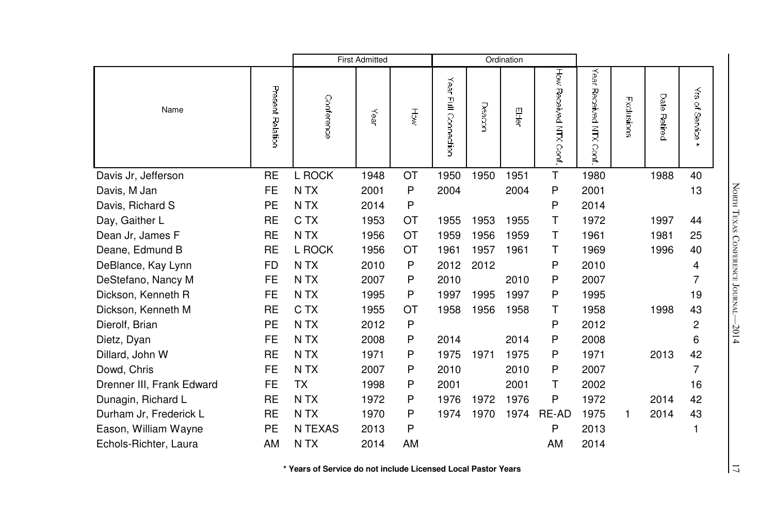|                           |                  |                  | <b>First Admitted</b> |     |                         |        | Ordination |                           |                              |            |                 |                                                              |
|---------------------------|------------------|------------------|-----------------------|-----|-------------------------|--------|------------|---------------------------|------------------------------|------------|-----------------|--------------------------------------------------------------|
| Name                      | Present Relation | Conference       | Year                  | Höw | Year<br>릴<br>Connection | Deacon | 冒          | How Received NTX<br>Conf. | Year<br>Received NTX<br>Conf | Exclusions | Date<br>Retired | $\vec{\tilde{s}}$<br>$\mathbf{Q}_\mathrm{a}$<br>Service<br>* |
| Davis Jr, Jefferson       | <b>RE</b>        | L ROCK           | 1948                  | OT  | 1950                    | 1950   | 1951       | T                         | 1980                         |            | 1988            | 40                                                           |
| Davis, M Jan              | <b>FE</b>        | N TX             | 2001                  | P   | 2004                    |        | 2004       | P                         | 2001                         |            |                 | 13                                                           |
| Davis, Richard S          | PE               | N TX             | 2014                  | P   |                         |        |            | P                         | 2014                         |            |                 |                                                              |
| Day, Gaither L            | <b>RE</b>        | C TX             | 1953                  | OT  | 1955                    | 1953   | 1955       | т                         | 1972                         |            | 1997            | 44                                                           |
| Dean Jr, James F          | <b>RE</b>        | N TX             | 1956                  | OT  | 1959                    | 1956   | 1959       | т                         | 1961                         |            | 1981            | 25                                                           |
| Deane, Edmund B           | <b>RE</b>        | L ROCK           | 1956                  | OT  | 1961                    | 1957   | 1961       | т                         | 1969                         |            | 1996            | 40                                                           |
| DeBlance, Kay Lynn        | <b>FD</b>        | N TX             | 2010                  | Ρ   | 2012                    | 2012   |            | P                         | 2010                         |            |                 | 4                                                            |
| DeStefano, Nancy M        | FE               | N <sub>T</sub> X | 2007                  | P   | 2010                    |        | 2010       | P                         | 2007                         |            |                 | 7                                                            |
| Dickson, Kenneth R        | <b>FE</b>        | N <sub>T</sub> X | 1995                  | P   | 1997                    | 1995   | 1997       | P                         | 1995                         |            |                 | 19                                                           |
| Dickson, Kenneth M        | <b>RE</b>        | C TX             | 1955                  | OT  | 1958                    | 1956   | 1958       | т                         | 1958                         |            | 1998            | 43                                                           |
| Dierolf, Brian            | <b>PE</b>        | N <sub>T</sub> X | 2012                  | P   |                         |        |            | P                         | 2012                         |            |                 | $\overline{c}$                                               |
| Dietz, Dyan               | <b>FE</b>        | N <sub>T</sub> X | 2008                  | P   | 2014                    |        | 2014       | P                         | 2008                         |            |                 | 6                                                            |
| Dillard, John W           | <b>RE</b>        | N <sub>T</sub> X | 1971                  | P   | 1975                    | 1971   | 1975       | P                         | 1971                         |            | 2013            | 42                                                           |
| Dowd, Chris               | <b>FE</b>        | N <sub>T</sub> X | 2007                  | P   | 2010                    |        | 2010       | P                         | 2007                         |            |                 | $\overline{7}$                                               |
| Drenner III, Frank Edward | <b>FE</b>        | <b>TX</b>        | 1998                  | P   | 2001                    |        | 2001       | т                         | 2002                         |            |                 | 16                                                           |
| Dunagin, Richard L        | <b>RE</b>        | N <sub>T</sub> X | 1972                  | P   | 1976                    | 1972   | 1976       | P                         | 1972                         |            | 2014            | 42                                                           |
| Durham Jr, Frederick L    | <b>RE</b>        | N TX             | 1970                  | Ρ   | 1974                    | 1970   | 1974       | RE-AD                     | 1975                         | 1          | 2014            | 43                                                           |
| Eason, William Wayne      | <b>PE</b>        | N TEXAS          | 2013                  | P   |                         |        |            | P                         | 2013                         |            |                 | 1                                                            |
| Echols-Richter, Laura     | AM               | N <sub>T</sub> X | 2014                  | AM  |                         |        |            | AM                        | 2014                         |            |                 |                                                              |

North TEXAS CONFERE e Journal—2014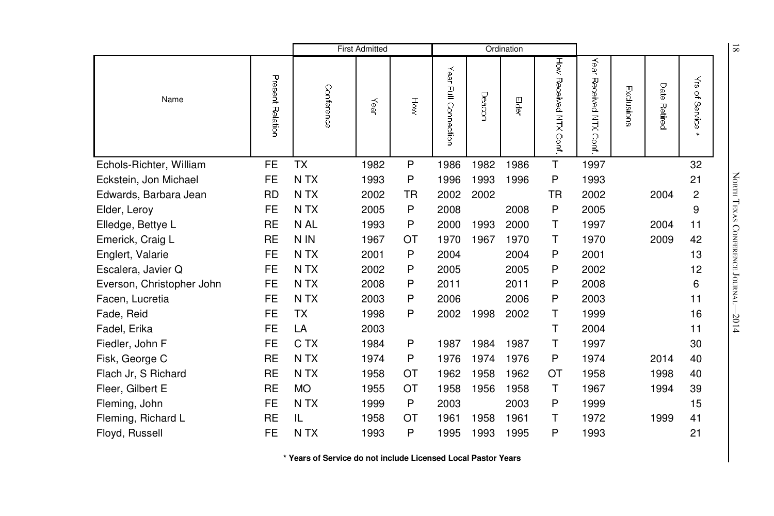|                           |                  | <b>First Admitted</b> |      |           | Ordination                     |        |      |                         |                              |            | $\overline{81}$ |                                   |                            |
|---------------------------|------------------|-----------------------|------|-----------|--------------------------------|--------|------|-------------------------|------------------------------|------------|-----------------|-----------------------------------|----------------------------|
| Name                      | Present Relation | Conference            | Year | HŎŵ       | Year<br><b>Full Connection</b> | Deacor | Edei | Ηğ<br>Received NTX Conf | Year<br>Received NTX<br>Conf | Exclusions | Date<br>Retired | $\tilde{\vec{s}}$<br>٩<br>Service |                            |
| Echols-Richter, William   | <b>FE</b>        | TX                    | 1982 | P         | 1986                           | 1982   | 1986 | T                       | 1997                         |            |                 | 32                                |                            |
| Eckstein, Jon Michael     | <b>FE</b>        | N <sub>T</sub> X      | 1993 | P         | 1996                           | 1993   | 1996 | P                       | 1993                         |            |                 | 21                                |                            |
| Edwards, Barbara Jean     | <b>RD</b>        | N <sub>T</sub> X      | 2002 | <b>TR</b> | 2002                           | 2002   |      | <b>TR</b>               | 2002                         |            | 2004            | $\overline{c}$                    | NORTH TEXAS                |
| Elder, Leroy              | <b>FE</b>        | N TX                  | 2005 | Ρ         | 2008                           |        | 2008 | $\mathsf{P}$            | 2005                         |            |                 | 9                                 |                            |
| Elledge, Bettye L         | <b>RE</b>        | N AL                  | 1993 | Ρ         | 2000                           | 1993   | 2000 | T                       | 1997                         |            | 2004            | 11                                |                            |
| Emerick, Craig L          | <b>RE</b>        | N IN                  | 1967 | ОT        | 1970                           | 1967   | 1970 | т                       | 1970                         |            | 2009            | 42                                |                            |
| Englert, Valarie          | FE               | N <sub>T</sub> X      | 2001 | Ρ         | 2004                           |        | 2004 | P                       | 2001                         |            |                 | 13                                |                            |
| Escalera, Javier Q        | FE               | N TX                  | 2002 | Ρ         | 2005                           |        | 2005 | P                       | 2002                         |            |                 | 12                                |                            |
| Everson, Christopher John | <b>FE</b>        | N TX                  | 2008 | P         | 2011                           |        | 2011 | P                       | 2008                         |            |                 | 6                                 | <b>CONFERENCE JOURNAL-</b> |
| Facen, Lucretia           | <b>FE</b>        | N TX                  | 2003 | Ρ         | 2006                           |        | 2006 | P                       | 2003                         |            |                 | 11                                |                            |
| Fade, Reid                | <b>FE</b>        | <b>TX</b>             | 1998 | P         | 2002                           | 1998   | 2002 | Τ                       | 1999                         |            |                 | 16                                | $-2014$                    |
| Fadel, Erika              | <b>FE</b>        | LA                    | 2003 |           |                                |        |      | T                       | 2004                         |            |                 | 11                                |                            |
| Fiedler, John F           | <b>FE</b>        | C TX                  | 1984 | P         | 1987                           | 1984   | 1987 | Τ                       | 1997                         |            |                 | 30                                |                            |
| Fisk, George C            | <b>RE</b>        | N TX                  | 1974 | Ρ         | 1976                           | 1974   | 1976 | P                       | 1974                         |            | 2014            | 40                                |                            |
| Flach Jr, S Richard       | <b>RE</b>        | N TX                  | 1958 | ОT        | 1962                           | 1958   | 1962 | OT                      | 1958                         |            | 1998            | 40                                |                            |
| Fleer, Gilbert E          | <b>RE</b>        | <b>MO</b>             | 1955 | ОT        | 1958                           | 1956   | 1958 | $\mathsf{T}$            | 1967                         |            | 1994            | 39                                |                            |
| Fleming, John             | <b>FE</b>        | N TX                  | 1999 | P         | 2003                           |        | 2003 | P                       | 1999                         |            |                 | 15                                |                            |
| Fleming, Richard L        | <b>RE</b>        | IL                    | 1958 | ОT        | 1961                           | 1958   | 1961 | т                       | 1972                         |            | 1999            | 41                                |                            |
| Floyd, Russell            | FE               | N TX                  | 1993 | Ρ         | 1995                           | 1993   | 1995 | P                       | 1993                         |            |                 | 21                                |                            |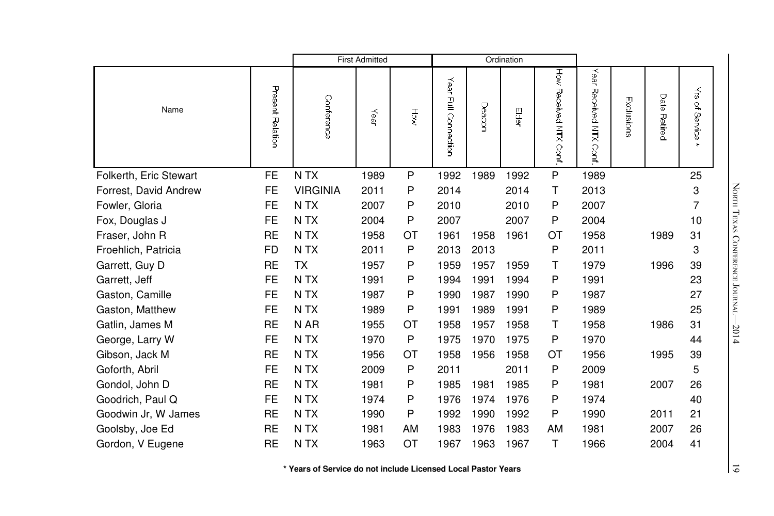|                        |                  | <b>First Admitted</b> |      |           |                      |        | Ordination |                       |                              |            |              |                           |
|------------------------|------------------|-----------------------|------|-----------|----------------------|--------|------------|-----------------------|------------------------------|------------|--------------|---------------------------|
| Name                   | Present Relation | Conference            | Year | हु        | Year Full Connection | Deacor | Eder       | How Received NTX Cont | Year<br>Received NTX<br>Conf | Exclusions | Date Retired | ₹<br>of Service<br>$\ast$ |
| Folkerth, Eric Stewart | <b>FE</b>        | N TX                  | 1989 | P         | 1992                 | 1989   | 1992       | P                     | 1989                         |            |              | 25                        |
| Forrest, David Andrew  | <b>FE</b>        | <b>VIRGINIA</b>       | 2011 | P         | 2014                 |        | 2014       | Τ                     | 2013                         |            |              | 3                         |
| Fowler, Gloria         | FE.              | N <sub>T</sub> X      | 2007 | P         | 2010                 |        | 2010       | P                     | 2007                         |            |              | $\overline{7}$            |
| Fox, Douglas J         | <b>FE</b>        | N TX                  | 2004 | P         | 2007                 |        | 2007       | P                     | 2004                         |            |              | 10                        |
| Fraser, John R         | <b>RE</b>        | N <sub>T</sub> X      | 1958 | <b>OT</b> | 1961                 | 1958   | 1961       | ОT                    | 1958                         |            | 1989         | 31                        |
| Froehlich, Patricia    | <b>FD</b>        | N <sub>T</sub> X      | 2011 | P         | 2013                 | 2013   |            | P                     | 2011                         |            |              | 3                         |
| Garrett, Guy D         | <b>RE</b>        | <b>TX</b>             | 1957 | P         | 1959                 | 1957   | 1959       | Τ                     | 1979                         |            | 1996         | 39                        |
| Garrett, Jeff          | <b>FE</b>        | N TX                  | 1991 | P         | 1994                 | 1991   | 1994       | P                     | 1991                         |            |              | 23                        |
| Gaston, Camille        | <b>FE</b>        | N TX                  | 1987 | P         | 1990                 | 1987   | 1990       | P                     | 1987                         |            |              | 27                        |
| Gaston, Matthew        | <b>FE</b>        | N <sub>T</sub> X      | 1989 | P         | 1991                 | 1989   | 1991       | P                     | 1989                         |            |              | 25                        |
| Gatlin, James M        | <b>RE</b>        | N AR                  | 1955 | ОT        | 1958                 | 1957   | 1958       | т                     | 1958                         |            | 1986         | 31                        |
| George, Larry W        | <b>FE</b>        | N <sub>T</sub> X      | 1970 | P         | 1975                 | 1970   | 1975       | P                     | 1970                         |            |              | 44                        |
| Gibson, Jack M         | <b>RE</b>        | N <sub>T</sub> X      | 1956 | ОT        | 1958                 | 1956   | 1958       | ОT                    | 1956                         |            | 1995         | 39                        |
| Goforth, Abril         | <b>FE</b>        | N <sub>T</sub> X      | 2009 | P         | 2011                 |        | 2011       | P                     | 2009                         |            |              | 5                         |
| Gondol, John D         | <b>RE</b>        | N TX                  | 1981 | P         | 1985                 | 1981   | 1985       | P                     | 1981                         |            | 2007         | 26                        |
| Goodrich, Paul Q       | <b>FE</b>        | N <sub>T</sub> X      | 1974 | P         | 1976                 | 1974   | 1976       | P                     | 1974                         |            |              | 40                        |
| Goodwin Jr, W James    | <b>RE</b>        | N TX                  | 1990 | P         | 1992                 | 1990   | 1992       | P                     | 1990                         |            | 2011         | 21                        |
| Goolsby, Joe Ed        | <b>RE</b>        | N TX                  | 1981 | AM        | 1983                 | 1976   | 1983       | AM                    | 1981                         |            | 2007         | 26                        |
| Gordon, V Eugene       | <b>RE</b>        | N <sub>T</sub> X      | 1963 | OT        | 1967                 | 1963   | 1967       | Τ                     | 1966                         |            | 2004         | 41                        |

North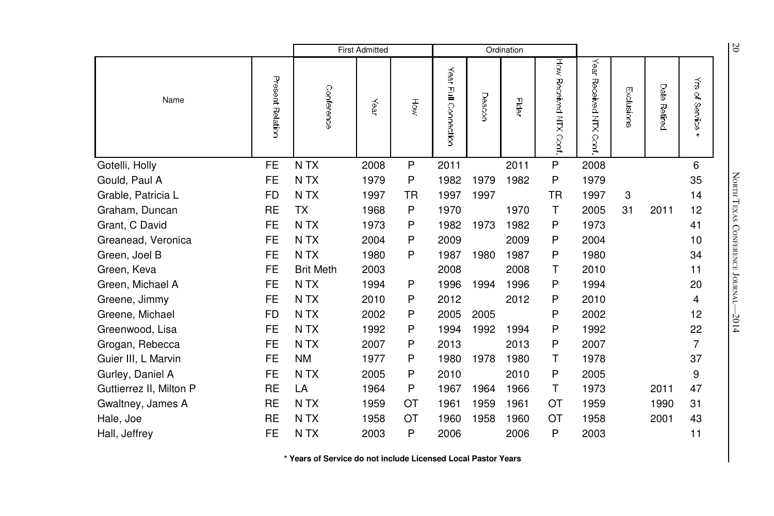|                         |                  | <b>First Admitted</b> |      |           | Ordination              |        |       |                          |                               |            | 20                     |                                                 |                            |
|-------------------------|------------------|-----------------------|------|-----------|-------------------------|--------|-------|--------------------------|-------------------------------|------------|------------------------|-------------------------------------------------|----------------------------|
| Name                    | Present Relation | Conference            | Year | Ъòм       | Year<br>Full Connection | Deacor | Eider | How Received NTX<br>Cont | Year<br>Received NTX<br>Conf. | Exclusions | Date<br><b>Retired</b> | $\vec{z}$<br>$\mathbf{Q}_\mathrm{c}$<br>Service |                            |
| Gotelli, Holly          | <b>FE</b>        | N TX                  | 2008 | P         | 2011                    |        | 2011  | P                        | 2008                          |            |                        | 6                                               |                            |
| Gould, Paul A           | <b>FE</b>        | N <sub>T</sub> X      | 1979 | P         | 1982                    | 1979   | 1982  | P                        | 1979                          |            |                        | 35                                              | NORTH TEXAS                |
| Grable, Patricia L      | <b>FD</b>        | N <sub>T</sub> X      | 1997 | TR        | 1997                    | 1997   |       | <b>TR</b>                | 1997                          | 3          |                        | 14                                              |                            |
| Graham, Duncan          | <b>RE</b>        | <b>TX</b>             | 1968 | P         | 1970                    |        | 1970  | Τ                        | 2005                          | 31         | 2011                   | 12                                              |                            |
| Grant, C David          | <b>FE</b>        | N TX                  | 1973 | P         | 1982                    | 1973   | 1982  | P                        | 1973                          |            |                        | 41                                              |                            |
| Greanead, Veronica      | <b>FE</b>        | N <sub>T</sub> X      | 2004 | P         | 2009                    |        | 2009  | P                        | 2004                          |            |                        | 10                                              |                            |
| Green, Joel B           | <b>FE</b>        | N <sub>T</sub> X      | 1980 | P         | 1987                    | 1980   | 1987  | P                        | 1980                          |            |                        | 34                                              |                            |
| Green, Keva             | <b>FE</b>        | <b>Brit Meth</b>      | 2003 |           | 2008                    |        | 2008  | Τ                        | 2010                          |            |                        | 11                                              |                            |
| Green, Michael A        | FE               | N <sub>T</sub> X      | 1994 | P         | 1996                    | 1994   | 1996  | P                        | 1994                          |            |                        | 20                                              | <b>CONFERENCE JOURNAL-</b> |
| Greene, Jimmy           | <b>FE</b>        | N TX                  | 2010 | P         | 2012                    |        | 2012  | P                        | 2010                          |            |                        | 4                                               |                            |
| Greene, Michael         | <b>FD</b>        | N TX                  | 2002 | P         | 2005                    | 2005   |       | P                        | 2002                          |            |                        | 12                                              | $-2014$                    |
| Greenwood, Lisa         | <b>FE</b>        | N <sub>T</sub> X      | 1992 | P         | 1994                    | 1992   | 1994  | P                        | 1992                          |            |                        | 22                                              |                            |
| Grogan, Rebecca         | <b>FE</b>        | N <sub>T</sub> X      | 2007 | P         | 2013                    |        | 2013  | P                        | 2007                          |            |                        | $\overline{7}$                                  |                            |
| Guier III, L Marvin     | <b>FE</b>        | <b>NM</b>             | 1977 | P         | 1980                    | 1978   | 1980  | т                        | 1978                          |            |                        | 37                                              |                            |
| Gurley, Daniel A        | <b>FE</b>        | N TX                  | 2005 | P         | 2010                    |        | 2010  | P                        | 2005                          |            |                        | 9                                               |                            |
| Guttierrez II, Milton P | <b>RE</b>        | LA                    | 1964 | Ρ         | 1967                    | 1964   | 1966  | $\mathsf{T}$             | 1973                          |            | 2011                   | 47                                              |                            |
| Gwaltney, James A       | <b>RE</b>        | N <sub>T</sub> X      | 1959 | <b>OT</b> | 1961                    | 1959   | 1961  | <b>OT</b>                | 1959                          |            | 1990                   | 31                                              |                            |
| Hale, Joe               | <b>RE</b>        | N <sub>T</sub> X      | 1958 | ОT        | 1960                    | 1958   | 1960  | <b>OT</b>                | 1958                          |            | 2001                   | 43                                              |                            |
| Hall, Jeffrey           | FE               | N TX                  | 2003 | P         | 2006                    |        | 2006  | P                        | 2003                          |            |                        | 11                                              |                            |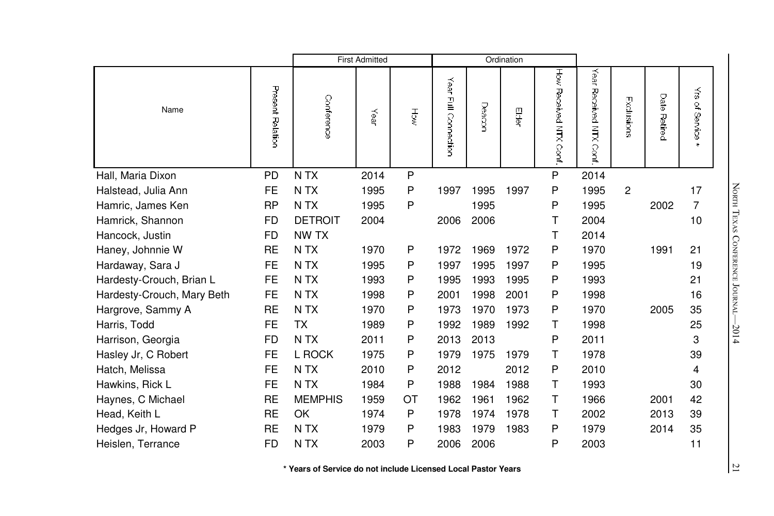|                            |                  | <b>First Admitted</b> |      |    |                      | Ordination |      |                       |                                |              |                 |                                           |
|----------------------------|------------------|-----------------------|------|----|----------------------|------------|------|-----------------------|--------------------------------|--------------|-----------------|-------------------------------------------|
| Name                       | Present Relation | Conference            | Year | HŎ | Year Full Connection | Deacor     | 导    | How Received NTX Cont | Year<br>Received NTX<br>i Conf | Exclusions   | Date<br>Retired | $\vec{\tilde{s}}$<br>of Service<br>$\ast$ |
| Hall, Maria Dixon          | <b>PD</b>        | N TX                  | 2014 | P  |                      |            |      | P                     | 2014                           |              |                 |                                           |
| Halstead, Julia Ann        | <b>FE</b>        | N TX                  | 1995 | P  | 1997                 | 1995       | 1997 | P                     | 1995                           | $\mathbf{2}$ |                 | 17                                        |
| Hamric, James Ken          | <b>RP</b>        | N TX                  | 1995 | P  |                      | 1995       |      | P                     | 1995                           |              | 2002            | 7                                         |
| Hamrick, Shannon           | FD               | <b>DETROIT</b>        | 2004 |    | 2006                 | 2006       |      | Т                     | 2004                           |              |                 | 10                                        |
| Hancock, Justin            | FD               | NW TX                 |      |    |                      |            |      | т                     | 2014                           |              |                 |                                           |
| Haney, Johnnie W           | <b>RE</b>        | N TX                  | 1970 | P  | 1972                 | 1969       | 1972 | P                     | 1970                           |              | 1991            | 21                                        |
| Hardaway, Sara J           | FE               | N <sub>T</sub> X      | 1995 | P  | 1997                 | 1995       | 1997 | P                     | 1995                           |              |                 | 19                                        |
| Hardesty-Crouch, Brian L   | <b>FE</b>        | N <sub>T</sub> X      | 1993 | P  | 1995                 | 1993       | 1995 | P                     | 1993                           |              |                 | 21                                        |
| Hardesty-Crouch, Mary Beth | FE               | N <sub>T</sub> X      | 1998 | P  | 2001                 | 1998       | 2001 | P                     | 1998                           |              |                 | 16                                        |
| Hargrove, Sammy A          | <b>RE</b>        | N <sub>T</sub> X      | 1970 | P  | 1973                 | 1970       | 1973 | P                     | 1970                           |              | 2005            | 35                                        |
| Harris, Todd               | <b>FE</b>        | <b>TX</b>             | 1989 | P  | 1992                 | 1989       | 1992 | Τ                     | 1998                           |              |                 | 25                                        |
| Harrison, Georgia          | <b>FD</b>        | N <sub>T</sub> X      | 2011 | P  | 2013                 | 2013       |      | P                     | 2011                           |              |                 | 3                                         |
| Hasley Jr, C Robert        | <b>FE</b>        | L ROCK                | 1975 | P  | 1979                 | 1975       | 1979 | т                     | 1978                           |              |                 | 39                                        |
| Hatch, Melissa             | <b>FE</b>        | N TX                  | 2010 | P  | 2012                 |            | 2012 | P                     | 2010                           |              |                 | 4                                         |
| Hawkins, Rick L            | <b>FE</b>        | N TX                  | 1984 | P  | 1988                 | 1984       | 1988 | т                     | 1993                           |              |                 | 30                                        |
| Haynes, C Michael          | <b>RE</b>        | <b>MEMPHIS</b>        | 1959 | ОT | 1962                 | 1961       | 1962 | т                     | 1966                           |              | 2001            | 42                                        |
| Head, Keith L              | <b>RE</b>        | OK                    | 1974 | P  | 1978                 | 1974       | 1978 | т                     | 2002                           |              | 2013            | 39                                        |
| Hedges Jr, Howard P        | <b>RE</b>        | N <sub>T</sub> X      | 1979 | P  | 1983                 | 1979       | 1983 | P                     | 1979                           |              | 2014            | 35                                        |
| Heislen, Terrance          | <b>FD</b>        | N TX                  | 2003 | P  | 2006                 | 2006       |      | P                     | 2003                           |              |                 | 11                                        |

 $\overline{21}$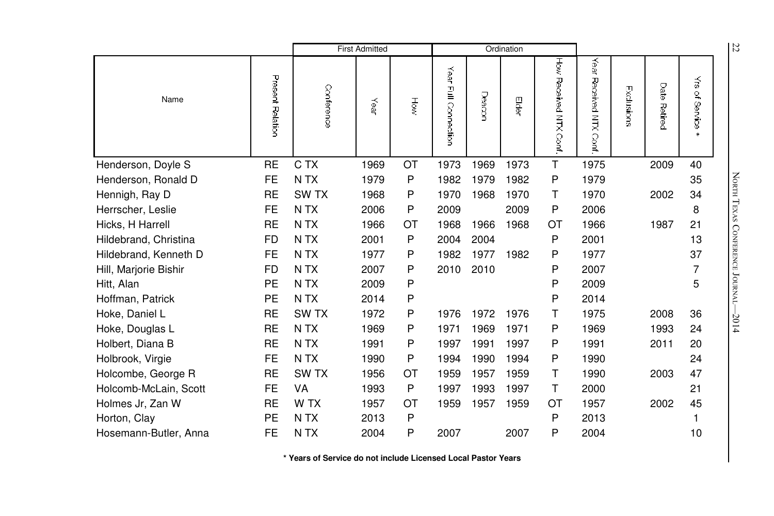|                       |                  |                  | <b>First Admitted</b> |     |                         |        | Ordination |                         |                              |            |                 |                                   | 22                         |
|-----------------------|------------------|------------------|-----------------------|-----|-------------------------|--------|------------|-------------------------|------------------------------|------------|-----------------|-----------------------------------|----------------------------|
| Name                  | Present Relation | Conference       | Year                  | Höw | Year<br>Full Connection | Deacor | Elder      | Ηò<br>Received NTX Cont | Year<br>Received NTX<br>Conf | Exclusions | Date<br>Retired | $\tilde{\vec{s}}$<br>٩<br>Service |                            |
| Henderson, Doyle S    | <b>RE</b>        | C TX             | 1969                  | OT  | 1973                    | 1969   | 1973       | T                       | 1975                         |            | 2009            | 40                                |                            |
| Henderson, Ronald D   | FE               | N TX             | 1979                  | P   | 1982                    | 1979   | 1982       | P                       | 1979                         |            |                 | 35                                |                            |
| Hennigh, Ray D        | <b>RE</b>        | <b>SWTX</b>      | 1968                  | P   | 1970                    | 1968   | 1970       | T                       | 1970                         |            | 2002            | 34                                | NORTH TEXAS                |
| Herrscher, Leslie     | <b>FE</b>        | N <sub>T</sub> X | 2006                  | P   | 2009                    |        | 2009       | P                       | 2006                         |            |                 | 8                                 |                            |
| Hicks, H Harrell      | <b>RE</b>        | N TX             | 1966                  | ОT  | 1968                    | 1966   | 1968       | OT                      | 1966                         |            | 1987            | 21                                |                            |
| Hildebrand, Christina | <b>FD</b>        | N <sub>T</sub> X | 2001                  | P   | 2004                    | 2004   |            | P                       | 2001                         |            |                 | 13                                |                            |
| Hildebrand, Kenneth D | FE               | N <sub>T</sub> X | 1977                  | Ρ   | 1982                    | 1977   | 1982       | P                       | 1977                         |            |                 | 37                                |                            |
| Hill, Marjorie Bishir | <b>FD</b>        | N <sub>T</sub> X | 2007                  | Ρ   | 2010                    | 2010   |            | P                       | 2007                         |            |                 | 7                                 |                            |
| Hitt, Alan            | PE               | N TX             | 2009                  | P   |                         |        |            | P                       | 2009                         |            |                 | 5                                 | <b>CONFERENCE JOURNAL-</b> |
| Hoffman, Patrick      | PE               | N <sub>T</sub> X | 2014                  | Ρ   |                         |        |            | P                       | 2014                         |            |                 |                                   |                            |
| Hoke, Daniel L        | <b>RE</b>        | SW <sub>TX</sub> | 1972                  | P   | 1976                    | 1972   | 1976       | т                       | 1975                         |            | 2008            | 36                                | $-2014$                    |
| Hoke, Douglas L       | <b>RE</b>        | N TX             | 1969                  | P   | 1971                    | 1969   | 1971       | P                       | 1969                         |            | 1993            | 24                                |                            |
| Holbert, Diana B      | <b>RE</b>        | N TX             | 1991                  | P   | 1997                    | 1991   | 1997       | P                       | 1991                         |            | 2011            | 20                                |                            |
| Holbrook, Virgie      | FE               | N TX             | 1990                  | Ρ   | 1994                    | 1990   | 1994       | P                       | 1990                         |            |                 | 24                                |                            |
| Holcombe, George R    | <b>RE</b>        | SW <sub>TX</sub> | 1956                  | ОT  | 1959                    | 1957   | 1959       | Τ                       | 1990                         |            | 2003            | 47                                |                            |
| Holcomb-McLain, Scott | FE               | VA               | 1993                  | P   | 1997                    | 1993   | 1997       | Τ                       | 2000                         |            |                 | 21                                |                            |
| Holmes Jr, Zan W      | <b>RE</b>        | W TX             | 1957                  | OT  | 1959                    | 1957   | 1959       | OT                      | 1957                         |            | 2002            | 45                                |                            |
| Horton, Clay          | <b>PE</b>        | N TX             | 2013                  | P   |                         |        |            | P                       | 2013                         |            |                 |                                   |                            |
| Hosemann-Butler, Anna | FE               | N TX             | 2004                  | Ρ   | 2007                    |        | 2007       | P                       | 2004                         |            |                 | 10                                |                            |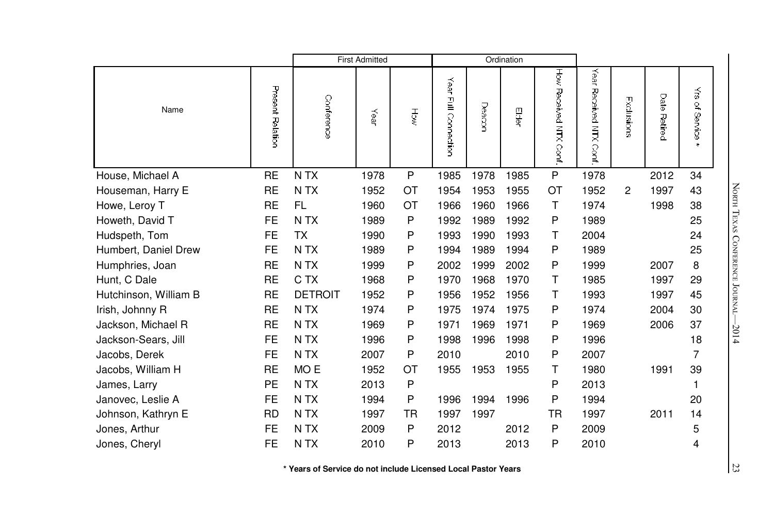|                       |                  |                  | <b>First Admitted</b> |           |                         |        | Ordination |                       |                              |            |              |                                                    |
|-----------------------|------------------|------------------|-----------------------|-----------|-------------------------|--------|------------|-----------------------|------------------------------|------------|--------------|----------------------------------------------------|
| Name                  | Present Relation | Conference       | Year                  | ۴ğ        | Year<br>Full Connection | Deacon | 骨          | How Hecerved NTX Cort | Year<br>Received NTX<br>Conf | Exclusions | Date Retired | $\vec{\tilde{\mathsf{s}}}$<br>of Service<br>$\ast$ |
| House, Michael A      | <b>RE</b>        | N TX             | 1978                  | P         | 1985                    | 1978   | 1985       | P                     | 1978                         |            | 2012         | 34                                                 |
| Houseman, Harry E     | <b>RE</b>        | N <sub>T</sub> X | 1952                  | <b>OT</b> | 1954                    | 1953   | 1955       | OT                    | 1952                         | 2          | 1997         | 43                                                 |
| Howe, Leroy T         | <b>RE</b>        | <b>FL</b>        | 1960                  | <b>OT</b> | 1966                    | 1960   | 1966       | Τ                     | 1974                         |            | 1998         | 38                                                 |
| Howeth, David T       | <b>FE</b>        | N <sub>T</sub> X | 1989                  | P         | 1992                    | 1989   | 1992       | P                     | 1989                         |            |              | 25                                                 |
| Hudspeth, Tom         | <b>FE</b>        | <b>TX</b>        | 1990                  | P         | 1993                    | 1990   | 1993       | т                     | 2004                         |            |              | 24                                                 |
| Humbert, Daniel Drew  | <b>FE</b>        | N TX             | 1989                  | P         | 1994                    | 1989   | 1994       | P                     | 1989                         |            |              | 25                                                 |
| Humphries, Joan       | <b>RE</b>        | N TX             | 1999                  | P         | 2002                    | 1999   | 2002       | P                     | 1999                         |            | 2007         | 8                                                  |
| Hunt, C Dale          | <b>RE</b>        | C TX             | 1968                  | P         | 1970                    | 1968   | 1970       | т                     | 1985                         |            | 1997         | 29                                                 |
| Hutchinson, William B | <b>RE</b>        | <b>DETROIT</b>   | 1952                  | P         | 1956                    | 1952   | 1956       | т                     | 1993                         |            | 1997         | 45                                                 |
| Irish, Johnny R       | <b>RE</b>        | N <sub>T</sub> X | 1974                  | P         | 1975                    | 1974   | 1975       | P                     | 1974                         |            | 2004         | 30                                                 |
| Jackson, Michael R    | <b>RE</b>        | N <sub>T</sub> X | 1969                  | P         | 1971                    | 1969   | 1971       | P                     | 1969                         |            | 2006         | 37                                                 |
| Jackson-Sears, Jill   | <b>FE</b>        | N TX             | 1996                  | P         | 1998                    | 1996   | 1998       | P                     | 1996                         |            |              | 18                                                 |
| Jacobs, Derek         | <b>FE</b>        | N TX             | 2007                  | P         | 2010                    |        | 2010       | P                     | 2007                         |            |              | 7                                                  |
| Jacobs, William H     | <b>RE</b>        | MO E             | 1952                  | <b>OT</b> | 1955                    | 1953   | 1955       | т                     | 1980                         |            | 1991         | 39                                                 |
| James, Larry          | <b>PE</b>        | N TX             | 2013                  | P         |                         |        |            | P                     | 2013                         |            |              | 1                                                  |
| Janovec, Leslie A     | <b>FE</b>        | N <sub>T</sub> X | 1994                  | P         | 1996                    | 1994   | 1996       | P                     | 1994                         |            |              | 20                                                 |
| Johnson, Kathryn E    | <b>RD</b>        | N <sub>T</sub> X | 1997                  | <b>TR</b> | 1997                    | 1997   |            | TR                    | 1997                         |            | 2011         | 14                                                 |
| Jones, Arthur         | <b>FE</b>        | N <sub>T</sub> X | 2009                  | P         | 2012                    |        | 2012       | P                     | 2009                         |            |              | 5                                                  |
| Jones, Cheryl         | FE               | N TX             | 2010                  | P         | 2013                    |        | 2013       | P                     | 2010                         |            |              | 4                                                  |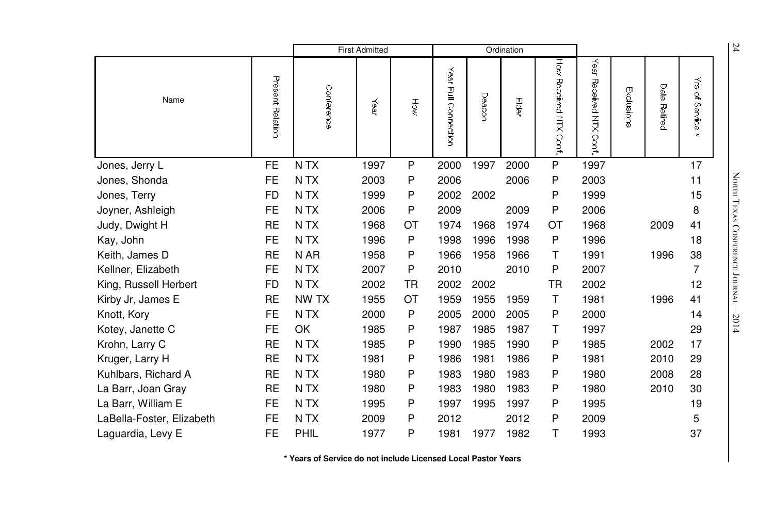|                           |                  |                  | <b>First Admitted</b> |           |                         |        | Ordination |                          |                              |            |                        |                                                                          | 24                         |
|---------------------------|------------------|------------------|-----------------------|-----------|-------------------------|--------|------------|--------------------------|------------------------------|------------|------------------------|--------------------------------------------------------------------------|----------------------------|
| Name                      | Present Relation | Conference       | Year                  | ξ         | Year<br>곹<br>Connection | Deacor | Elder      | How Received NTX<br>Conf | Year<br>Received NTX<br>Conf | Exclusions | Date<br><b>Petired</b> | $\vec{\tilde{\omega}}$<br>$\overline{\mathcal{C}}$<br>Service<br>Service |                            |
| Jones, Jerry L            | FE               | N TX             | 1997                  | P         | 2000                    | 1997   | 2000       | P                        | 1997                         |            |                        | 17                                                                       |                            |
| Jones, Shonda             | FE               | N <sub>T</sub> X | 2003                  | P         | 2006                    |        | 2006       | P                        | 2003                         |            |                        | 11                                                                       |                            |
| Jones, Terry              | FD               | N <sub>T</sub> X | 1999                  | Ρ         | 2002                    | 2002   |            | P                        | 1999                         |            |                        | 15                                                                       | NORTH TEXAS                |
| Joyner, Ashleigh          | <b>FE</b>        | N TX             | 2006                  | P         | 2009                    |        | 2009       | P                        | 2006                         |            |                        | 8                                                                        |                            |
| Judy, Dwight H            | <b>RE</b>        | N <sub>T</sub> X | 1968                  | ОT        | 1974                    | 1968   | 1974       | OT                       | 1968                         |            | 2009                   | 41                                                                       |                            |
| Kay, John                 | <b>FE</b>        | N <sub>T</sub> X | 1996                  | P         | 1998                    | 1996   | 1998       | P                        | 1996                         |            |                        | 18                                                                       | <b>CONFERENCE JOURNAL-</b> |
| Keith, James D            | <b>RE</b>        | N AR             | 1958                  | P         | 1966                    | 1958   | 1966       | т                        | 1991                         |            | 1996                   | 38                                                                       |                            |
| Kellner, Elizabeth        | <b>FE</b>        | N TX             | 2007                  | P         | 2010                    |        | 2010       | P                        | 2007                         |            |                        | $\overline{7}$                                                           |                            |
| King, Russell Herbert     | <b>FD</b>        | N <sub>T</sub> X | 2002                  | <b>TR</b> | 2002                    | 2002   |            | <b>TR</b>                | 2002                         |            |                        | 12                                                                       |                            |
| Kirby Jr, James E         | <b>RE</b>        | NW TX            | 1955                  | ОT        | 1959                    | 1955   | 1959       | Τ                        | 1981                         |            | 1996                   | 41                                                                       |                            |
| Knott, Kory               | <b>FE</b>        | N <sub>T</sub> X | 2000                  | P         | 2005                    | 2000   | 2005       | P                        | 2000                         |            |                        | 14                                                                       | $-2014$                    |
| Kotey, Janette C          | FE               | OK               | 1985                  | P         | 1987                    | 1985   | 1987       | т                        | 1997                         |            |                        | 29                                                                       |                            |
| Krohn, Larry C            | <b>RE</b>        | N <sub>T</sub> X | 1985                  | P         | 1990                    | 1985   | 1990       | P                        | 1985                         |            | 2002                   | 17                                                                       |                            |
| Kruger, Larry H           | RE               | N <sub>T</sub> X | 1981                  | P         | 1986                    | 1981   | 1986       | P                        | 1981                         |            | 2010                   | 29                                                                       |                            |
| Kuhlbars, Richard A       | <b>RE</b>        | N <sub>T</sub> X | 1980                  | P         | 1983                    | 1980   | 1983       | P                        | 1980                         |            | 2008                   | 28                                                                       |                            |
| La Barr, Joan Gray        | RE               | N TX             | 1980                  | P         | 1983                    | 1980   | 1983       | P                        | 1980                         |            | 2010                   | 30                                                                       |                            |
| La Barr, William E        | FE               | N TX             | 1995                  | P         | 1997                    | 1995   | 1997       | P                        | 1995                         |            |                        | 19                                                                       |                            |
| LaBella-Foster, Elizabeth | FE               | N <sub>T</sub> X | 2009                  | P         | 2012                    |        | 2012       | P                        | 2009                         |            |                        | 5                                                                        |                            |
| Laguardia, Levy E         | <b>FE</b>        | PHIL             | 1977                  | P         | 1981                    | 1977   | 1982       | Τ                        | 1993                         |            |                        | 37                                                                       |                            |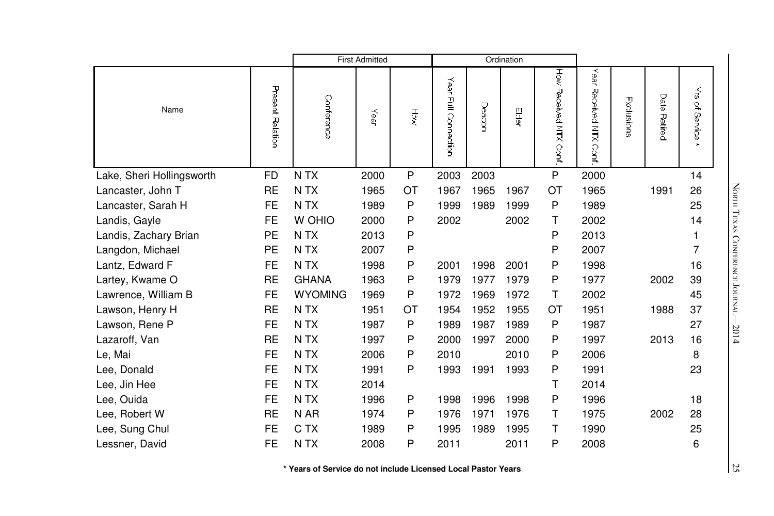|                           |                  |                  | <b>First Admitted</b> |           |                      |        | Ordination |                       |                               |            |              |                           |
|---------------------------|------------------|------------------|-----------------------|-----------|----------------------|--------|------------|-----------------------|-------------------------------|------------|--------------|---------------------------|
| Name                      | Present Relation | Conference       | Year                  | HŎ        | Year Full Connection | Deacon | 导          | How Hecerved NTX Cort | Year<br>Received NTX<br>Conf. | Exclusions | Date Retired | ₹<br>of Service<br>$\ast$ |
| Lake, Sheri Hollingsworth | <b>FD</b>        | N TX             | 2000                  | ${\sf P}$ | 2003                 | 2003   |            | P                     | 2000                          |            |              | 14                        |
| Lancaster, John T         | <b>RE</b>        | N TX             | 1965                  | OT        | 1967                 | 1965   | 1967       | OT                    | 1965                          |            | 1991         | 26                        |
| Lancaster, Sarah H        | <b>FE</b>        | N <sub>T</sub> X | 1989                  | P         | 1999                 | 1989   | 1999       | P                     | 1989                          |            |              | 25                        |
| Landis, Gayle             | <b>FE</b>        | W OHIO           | 2000                  | P         | 2002                 |        | 2002       | т                     | 2002                          |            |              | 14                        |
| Landis, Zachary Brian     | <b>PE</b>        | N TX             | 2013                  | P         |                      |        |            | P                     | 2013                          |            |              | 1                         |
| Langdon, Michael          | <b>PE</b>        | N TX             | 2007                  | P         |                      |        |            | P                     | 2007                          |            |              | 7                         |
| Lantz, Edward F           | <b>FE</b>        | N <sub>T</sub> X | 1998                  | P         | 2001                 | 1998   | 2001       | P                     | 1998                          |            |              | 16                        |
| Lartey, Kwame O           | <b>RE</b>        | <b>GHANA</b>     | 1963                  | P         | 1979                 | 1977   | 1979       | P                     | 1977                          |            | 2002         | 39                        |
| Lawrence, William B       | <b>FE</b>        | <b>WYOMING</b>   | 1969                  | P         | 1972                 | 1969   | 1972       | т                     | 2002                          |            |              | 45                        |
| Lawson, Henry H           | <b>RE</b>        | N <sub>T</sub> X | 1951                  | OT        | 1954                 | 1952   | 1955       | OT                    | 1951                          |            | 1988         | 37                        |
| Lawson, Rene P            | <b>FE</b>        | N <sub>T</sub> X | 1987                  | P         | 1989                 | 1987   | 1989       | P                     | 1987                          |            |              | 27                        |
| Lazaroff, Van             | <b>RE</b>        | N <sub>T</sub> X | 1997                  | P         | 2000                 | 1997   | 2000       | P                     | 1997                          |            | 2013         | 16                        |
| Le, Mai                   | <b>FE</b>        | N <sub>T</sub> X | 2006                  | P         | 2010                 |        | 2010       | P                     | 2006                          |            |              | 8                         |
| Lee, Donald               | <b>FE</b>        | N TX             | 1991                  | P         | 1993                 | 1991   | 1993       | Ρ                     | 1991                          |            |              | 23                        |
| Lee, Jin Hee              | <b>FE</b>        | N TX             | 2014                  |           |                      |        |            | т                     | 2014                          |            |              |                           |
| Lee, Ouida                | <b>FE</b>        | N <sub>T</sub> X | 1996                  | P         | 1998                 | 1996   | 1998       | P                     | 1996                          |            |              | 18                        |
| Lee, Robert W             | <b>RE</b>        | N AR             | 1974                  | P         | 1976                 | 1971   | 1976       | т                     | 1975                          |            | 2002         | 28                        |
| Lee, Sung Chul            | <b>FE</b>        | C TX             | 1989                  | P         | 1995                 | 1989   | 1995       | т                     | 1990                          |            |              | 25                        |
| Lessner, David            | <b>FE</b>        | N TX             | 2008                  | P         | 2011                 |        | 2011       | P                     | 2008                          |            |              | 6                         |

North TEXAS CONFERE e Journal—2014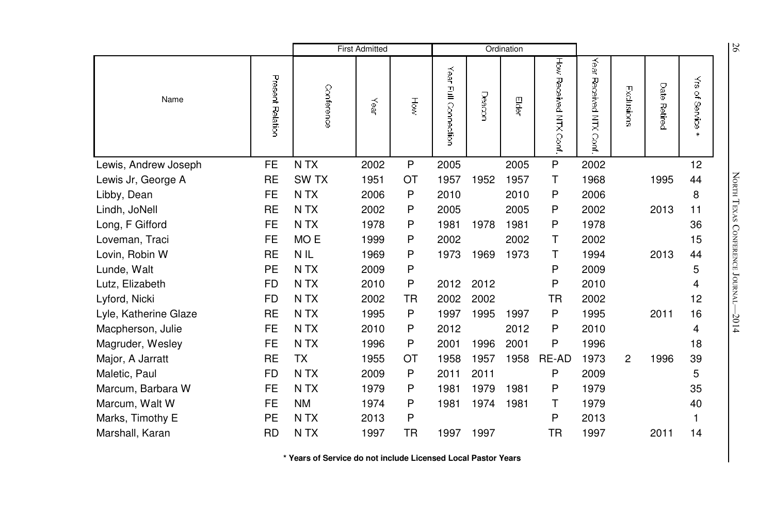|                       |                  |                  | <b>First Admitted</b> |     |                         |        | Ordination |                          |                              |                |                 |                                 | 56                              |
|-----------------------|------------------|------------------|-----------------------|-----|-------------------------|--------|------------|--------------------------|------------------------------|----------------|-----------------|---------------------------------|---------------------------------|
| Name                  | Present Relation | Conference       | Year                  | HÖW | Year<br>릴<br>Connection | Deacor | Elder      | How<br>Received NTX Conf | Year<br>Received NTX<br>Conf | Exclusions     | Date<br>Retired | $\tilde{\vec{s}}$<br>of Service |                                 |
| Lewis, Andrew Joseph  | FE               | N <sub>T</sub> X | 2002                  | P   | 2005                    |        | 2005       | P                        | 2002                         |                |                 | 12                              |                                 |
| Lewis Jr, George A    | <b>RE</b>        | <b>SWTX</b>      | 1951                  | ОT  | 1957                    | 1952   | 1957       | Τ                        | 1968                         |                | 1995            | 44                              | NORTH TEXAS CONFERENCE JOURNAL- |
| Libby, Dean           | <b>FE</b>        | N <sub>T</sub> X | 2006                  | P   | 2010                    |        | 2010       | P                        | 2006                         |                |                 | 8                               |                                 |
| Lindh, JoNell         | <b>RE</b>        | N TX             | 2002                  | P   | 2005                    |        | 2005       | P                        | 2002                         |                | 2013            | 11                              |                                 |
| Long, F Gifford       | <b>FE</b>        | N <sub>T</sub> X | 1978                  | P   | 1981                    | 1978   | 1981       | P                        | 1978                         |                |                 | 36                              |                                 |
| Loveman, Traci        | <b>FE</b>        | MO <sub>E</sub>  | 1999                  | Ρ   | 2002                    |        | 2002       | Τ                        | 2002                         |                |                 | 15                              |                                 |
| Lovin, Robin W        | <b>RE</b>        | N <sub>IL</sub>  | 1969                  | P   | 1973                    | 1969   | 1973       | т                        | 1994                         |                | 2013            | 44                              |                                 |
| Lunde, Walt           | <b>PE</b>        | N <sub>T</sub> X | 2009                  | P   |                         |        |            | P                        | 2009                         |                |                 | 5                               |                                 |
| Lutz, Elizabeth       | <b>FD</b>        | N TX             | 2010                  | P   | 2012                    | 2012   |            | P                        | 2010                         |                |                 | 4                               |                                 |
| Lyford, Nicki         | <b>FD</b>        | N <sub>T</sub> X | 2002                  | TR  | 2002                    | 2002   |            | TR                       | 2002                         |                |                 | 12                              |                                 |
| Lyle, Katherine Glaze | <b>RE</b>        | N TX             | 1995                  | P   | 1997                    | 1995   | 1997       | P                        | 1995                         |                | 2011            | 16                              | $-2014$                         |
| Macpherson, Julie     | FE               | N <sub>T</sub> X | 2010                  | P   | 2012                    |        | 2012       | P                        | 2010                         |                |                 | 4                               |                                 |
| Magruder, Wesley      | <b>FE</b>        | N <sub>T</sub> X | 1996                  | P   | 2001                    | 1996   | 2001       | P                        | 1996                         |                |                 | 18                              |                                 |
| Major, A Jarratt      | <b>RE</b>        | TX               | 1955                  | ОT  | 1958                    | 1957   | 1958       | RE-AD                    | 1973                         | $\overline{2}$ | 1996            | 39                              |                                 |
| Maletic, Paul         | <b>FD</b>        | N TX             | 2009                  | P   | 2011                    | 2011   |            | P                        | 2009                         |                |                 | 5                               |                                 |
| Marcum, Barbara W     | <b>FE</b>        | N TX             | 1979                  | Ρ   | 1981                    | 1979   | 1981       | P                        | 1979                         |                |                 | 35                              |                                 |
| Marcum, Walt W        | <b>FE</b>        | <b>NM</b>        | 1974                  | Ρ   | 1981                    | 1974   | 1981       | Τ                        | 1979                         |                |                 | 40                              |                                 |
| Marks, Timothy E      | <b>PE</b>        | N TX             | 2013                  | Ρ   |                         |        |            | P                        | 2013                         |                |                 | 1                               |                                 |
| Marshall, Karan       | <b>RD</b>        | N TX             | 1997                  | TR  | 1997                    | 1997   |            | <b>TR</b>                | 1997                         |                | 2011            | 14                              |                                 |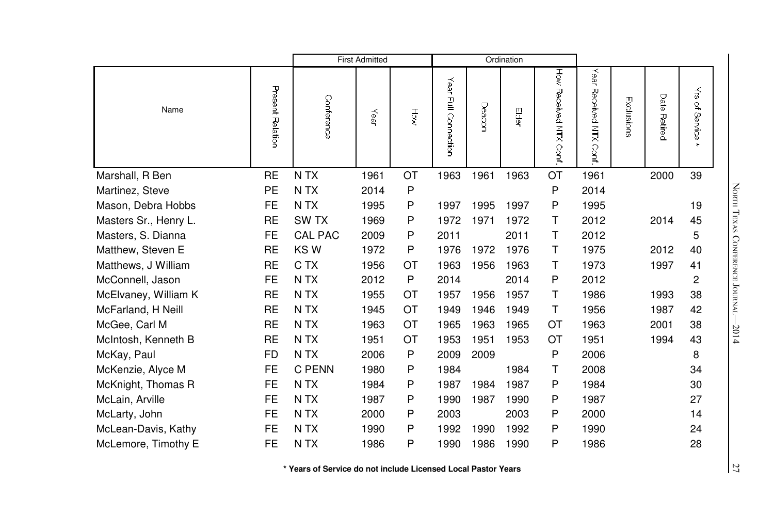|                       |                  |                  | <b>First Admitted</b> |           |                      |       | Ordination |                       |                              |            |              |                                 |
|-----------------------|------------------|------------------|-----------------------|-----------|----------------------|-------|------------|-----------------------|------------------------------|------------|--------------|---------------------------------|
| Name                  | Present Relation | Conference       | Year                  | HŎ        | Year Full Connection | Deacr | 四间         | How Received NTX Cont | Year<br>Received NTX<br>Conf | Exclusions | Date Retired | $\vec{\tilde{s}}$<br>of Service |
| Marshall, R Ben       | <b>RE</b>        | N TX             | 1961                  | OT        | 1963                 | 1961  | 1963       | OT                    | 1961                         |            | 2000         | 39                              |
| Martinez, Steve       | PE               | N <sub>T</sub> X | 2014                  | P         |                      |       |            | P                     | 2014                         |            |              |                                 |
| Mason, Debra Hobbs    | <b>FE</b>        | N <sub>T</sub> X | 1995                  | P         | 1997                 | 1995  | 1997       | P                     | 1995                         |            |              | 19                              |
| Masters Sr., Henry L. | <b>RE</b>        | SW <sub>TX</sub> | 1969                  | P         | 1972                 | 1971  | 1972       | т                     | 2012                         |            | 2014         | 45                              |
| Masters, S. Dianna    | FE.              | <b>CAL PAC</b>   | 2009                  | P         | 2011                 |       | 2011       | т                     | 2012                         |            |              | 5                               |
| Matthew, Steven E     | <b>RE</b>        | KSW              | 1972                  | P         | 1976                 | 1972  | 1976       | т                     | 1975                         |            | 2012         | 40                              |
| Matthews, J William   | <b>RE</b>        | C TX             | 1956                  | <b>OT</b> | 1963                 | 1956  | 1963       | т                     | 1973                         |            | 1997         | 41                              |
| McConnell, Jason      | <b>FE</b>        | N TX             | 2012                  | P         | 2014                 |       | 2014       | P                     | 2012                         |            |              | 2                               |
| McElvaney, William K  | <b>RE</b>        | N <sub>T</sub> X | 1955                  | ОT        | 1957                 | 1956  | 1957       | т                     | 1986                         |            | 1993         | 38                              |
| McFarland, H Neill    | <b>RE</b>        | N <sub>T</sub> X | 1945                  | <b>OT</b> | 1949                 | 1946  | 1949       | $\mathsf{T}$          | 1956                         |            | 1987         | 42                              |
| McGee, Carl M         | <b>RE</b>        | N <sub>T</sub> X | 1963                  | <b>OT</b> | 1965                 | 1963  | 1965       | ОT                    | 1963                         |            | 2001         | 38                              |
| McIntosh, Kenneth B   | <b>RE</b>        | N <sub>T</sub> X | 1951                  | <b>OT</b> | 1953                 | 1951  | 1953       | <b>OT</b>             | 1951                         |            | 1994         | 43                              |
| McKay, Paul           | FD.              | N <sub>T</sub> X | 2006                  | P         | 2009                 | 2009  |            | P                     | 2006                         |            |              | 8                               |
| McKenzie, Alyce M     | <b>FE</b>        | C PENN           | 1980                  | P         | 1984                 |       | 1984       | т                     | 2008                         |            |              | 34                              |
| McKnight, Thomas R    | <b>FE</b>        | N TX             | 1984                  | P         | 1987                 | 1984  | 1987       | P                     | 1984                         |            |              | 30                              |
| McLain, Arville       | <b>FE</b>        | N <sub>T</sub> X | 1987                  | P         | 1990                 | 1987  | 1990       | P                     | 1987                         |            |              | 27                              |
| McLarty, John         | <b>FE</b>        | N <sub>T</sub> X | 2000                  | P         | 2003                 |       | 2003       | P                     | 2000                         |            |              | 14                              |
| McLean-Davis, Kathy   | <b>FE</b>        | N <sub>T</sub> X | 1990                  | P         | 1992                 | 1990  | 1992       | P                     | 1990                         |            |              | 24                              |
| McLemore, Timothy E   | <b>FE</b>        | N TX             | 1986                  | P         | 1990                 | 1986  | 1990       | P                     | 1986                         |            |              | 28                              |

North TEXAS CONFERE e Journal—2014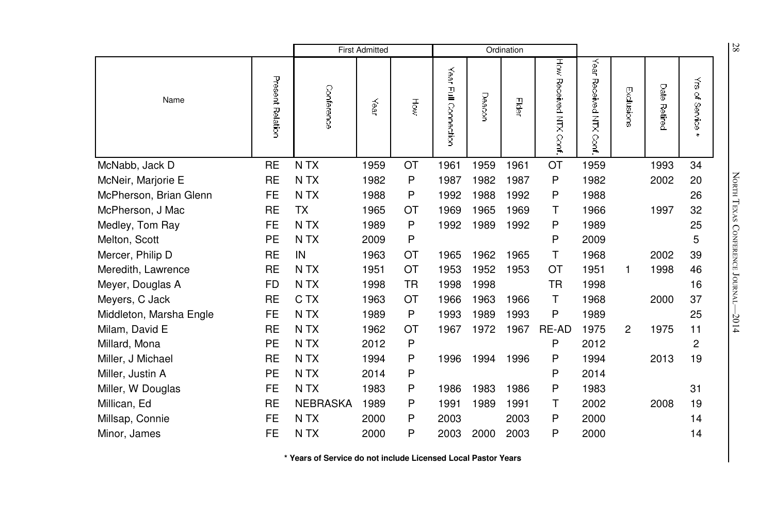|                         |                  |                  | <b>First Admitted</b> |     |                                                |        | Ordination |                           |                                     |            |                        |                                        | 28                         |
|-------------------------|------------------|------------------|-----------------------|-----|------------------------------------------------|--------|------------|---------------------------|-------------------------------------|------------|------------------------|----------------------------------------|----------------------------|
| Name                    | Present Relation | Conference       | Year                  | Ηğ  | Year<br>$\mathbf{\underline{F}}$<br>Connection | Deacor | Eder       | How Received NTX<br>Conf. | Year<br>Received NTX<br><b>Cont</b> | Exclusions | Date<br><b>Retired</b> | $\vec{\tilde{\omega}}$<br>٩<br>Service |                            |
| McNabb, Jack D          | <b>RE</b>        | N <sub>T</sub> X | 1959                  | OT  | 1961                                           | 1959   | 1961       | OT                        | 1959                                |            | 1993                   | 34                                     |                            |
| McNeir, Marjorie E      | <b>RE</b>        | N <sub>T</sub> X | 1982                  | P   | 1987                                           | 1982   | 1987       | P                         | 1982                                |            | 2002                   | 20                                     | NORTH TEXAS                |
| McPherson, Brian Glenn  | FE               | N TX             | 1988                  | P   | 1992                                           | 1988   | 1992       | P                         | 1988                                |            |                        | 26                                     |                            |
| McPherson, J Mac        | <b>RE</b>        | <b>TX</b>        | 1965                  | ОT  | 1969                                           | 1965   | 1969       | т                         | 1966                                |            | 1997                   | 32                                     |                            |
| Medley, Tom Ray         | <b>FE</b>        | N TX             | 1989                  | P   | 1992                                           | 1989   | 1992       | P                         | 1989                                |            |                        | 25                                     |                            |
| Melton, Scott           | PE               | N TX             | 2009                  | P   |                                                |        |            | P                         | 2009                                |            |                        | 5                                      | <b>CONFERENCE JOURNAL-</b> |
| Mercer, Philip D        | <b>RE</b>        | IN               | 1963                  | ОT  | 1965                                           | 1962   | 1965       | Τ                         | 1968                                |            | 2002                   | 39                                     |                            |
| Meredith, Lawrence      | <b>RE</b>        | N <sub>T</sub> X | 1951                  | OT  | 1953                                           | 1952   | 1953       | OT                        | 1951                                | 1          | 1998                   | 46                                     |                            |
| Meyer, Douglas A        | FD               | N TX             | 1998                  | TR. | 1998                                           | 1998   |            | TR                        | 1998                                |            |                        | 16                                     |                            |
| Meyers, C Jack          | <b>RE</b>        | C TX             | 1963                  | ОT  | 1966                                           | 1963   | 1966       | Τ                         | 1968                                |            | 2000                   | 37                                     |                            |
| Middleton, Marsha Engle | FE               | N <sub>T</sub> X | 1989                  | P   | 1993                                           | 1989   | 1993       | P                         | 1989                                |            |                        | 25                                     | $-2014$                    |
| Milam, David E          | <b>RE</b>        | N TX             | 1962                  | ОT  | 1967                                           | 1972   | 1967       | RE-AD                     | 1975                                | 2          | 1975                   | 11                                     |                            |
| Millard, Mona           | PE               | N TX             | 2012                  | P   |                                                |        |            | P                         | 2012                                |            |                        | 2                                      |                            |
| Miller, J Michael       | <b>RE</b>        | N TX             | 1994                  | P   | 1996                                           | 1994   | 1996       | P                         | 1994                                |            | 2013                   | 19                                     |                            |
| Miller, Justin A        | PE               | N TX             | 2014                  | P   |                                                |        |            | P                         | 2014                                |            |                        |                                        |                            |
| Miller, W Douglas       | <b>FE</b>        | N TX             | 1983                  | P   | 1986                                           | 1983   | 1986       | P                         | 1983                                |            |                        | 31                                     |                            |
| Millican, Ed            | <b>RE</b>        | <b>NEBRASKA</b>  | 1989                  | P   | 1991                                           | 1989   | 1991       | т                         | 2002                                |            | 2008                   | 19                                     |                            |
| Millsap, Connie         | FE               | N TX             | 2000                  | P   | 2003                                           |        | 2003       | P                         | 2000                                |            |                        | 14                                     |                            |
| Minor, James            | <b>FE</b>        | N TX             | 2000                  | P   | 2003                                           | 2000   | 2003       | P                         | 2000                                |            |                        | 14                                     |                            |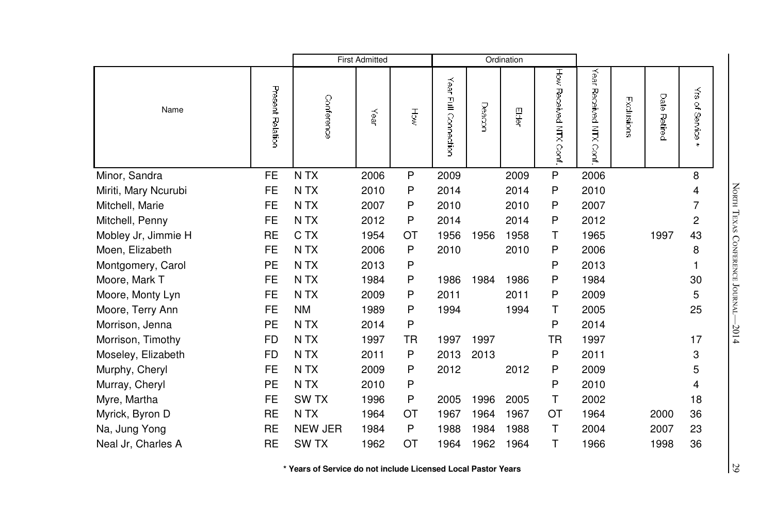|                      |                  |                  | <b>First Admitted</b> |        |                         |        | Ordination |                       |                           |            |              |                                                |
|----------------------|------------------|------------------|-----------------------|--------|-------------------------|--------|------------|-----------------------|---------------------------|------------|--------------|------------------------------------------------|
| Name                 | Present Relation | Conference       | Year                  | ႕<br>S | Year<br>Full Connection | Deacor | es<br>€    | How Received NTX Cont | Year<br>Received NTX<br>ु | Exclusions | Date Retired | $\vec{\tilde{\omega}}$<br>of Service<br>$\ast$ |
| Minor, Sandra        | <b>FE</b>        | N TX             | 2006                  | P      | 2009                    |        | 2009       | ${\sf P}$             | 2006                      |            |              | 8                                              |
| Miriti, Mary Ncurubi | <b>FE</b>        | N <sub>T</sub> X | 2010                  | P      | 2014                    |        | 2014       | P                     | 2010                      |            |              | 4                                              |
| Mitchell, Marie      | <b>FE</b>        | N TX             | 2007                  | P      | 2010                    |        | 2010       | P                     | 2007                      |            |              | 7                                              |
| Mitchell, Penny      | <b>FE</b>        | N TX             | 2012                  | P      | 2014                    |        | 2014       | P                     | 2012                      |            |              | 2                                              |
| Mobley Jr, Jimmie H  | <b>RE</b>        | C TX             | 1954                  | OT     | 1956                    | 1956   | 1958       | т                     | 1965                      |            | 1997         | 43                                             |
| Moen, Elizabeth      | <b>FE</b>        | N <sub>T</sub> X | 2006                  | P      | 2010                    |        | 2010       | P                     | 2006                      |            |              | 8                                              |
| Montgomery, Carol    | PE               | N TX             | 2013                  | P      |                         |        |            | P                     | 2013                      |            |              |                                                |
| Moore, Mark T        | <b>FE</b>        | N <sub>T</sub> X | 1984                  | P      | 1986                    | 1984   | 1986       | P                     | 1984                      |            |              | 30                                             |
| Moore, Monty Lyn     | <b>FE</b>        | N <sub>T</sub> X | 2009                  | P      | 2011                    |        | 2011       | P                     | 2009                      |            |              | 5                                              |
| Moore, Terry Ann     | <b>FE</b>        | <b>NM</b>        | 1989                  | P      | 1994                    |        | 1994       | т                     | 2005                      |            |              | 25                                             |
| Morrison, Jenna      | <b>PE</b>        | N TX             | 2014                  | P      |                         |        |            | P                     | 2014                      |            |              |                                                |
| Morrison, Timothy    | <b>FD</b>        | N TX             | 1997                  | TR     | 1997                    | 1997   |            | <b>TR</b>             | 1997                      |            |              | 17                                             |
| Moseley, Elizabeth   | FD               | N <sub>T</sub> X | 2011                  | P      | 2013                    | 2013   |            | P                     | 2011                      |            |              | 3                                              |
| Murphy, Cheryl       | <b>FE</b>        | N <sub>T</sub> X | 2009                  | P      | 2012                    |        | 2012       | P                     | 2009                      |            |              | 5                                              |
| Murray, Cheryl       | PE               | N <sub>T</sub> X | 2010                  | P      |                         |        |            | P                     | 2010                      |            |              | 4                                              |
| Myre, Martha         | <b>FE</b>        | SW <sub>TX</sub> | 1996                  | P      | 2005                    | 1996   | 2005       | T                     | 2002                      |            |              | 18                                             |
| Myrick, Byron D      | <b>RE</b>        | N <sub>T</sub> X | 1964                  | OT     | 1967                    | 1964   | 1967       | OT                    | 1964                      |            | 2000         | 36                                             |
| Na, Jung Yong        | RE               | <b>NEW JER</b>   | 1984                  | P      | 1988                    | 1984   | 1988       | т                     | 2004                      |            | 2007         | 23                                             |
| Neal Jr, Charles A   | <b>RE</b>        | SW <sub>TX</sub> | 1962                  | OT     | 1964                    | 1962   | 1964       | т                     | 1966                      |            | 1998         | 36                                             |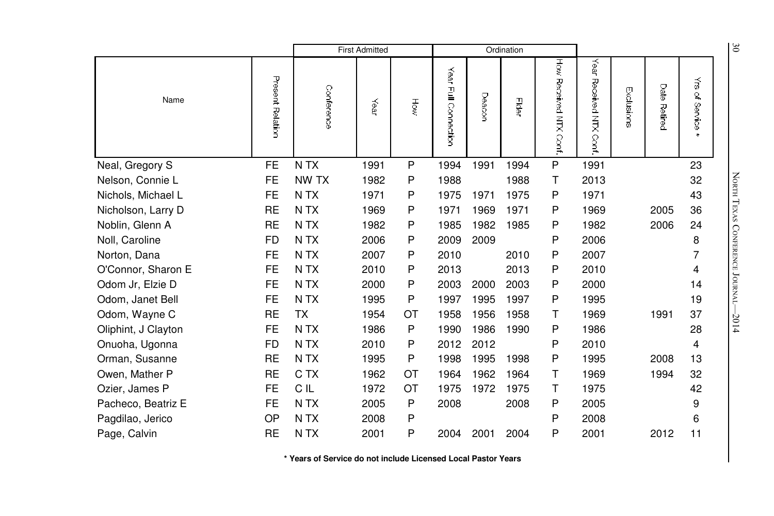|                     |                  |                  | <b>First Admitted</b> |     |                             |        | Ordination |                          |                              |            |                        |                                       | $\delta$                   |
|---------------------|------------------|------------------|-----------------------|-----|-----------------------------|--------|------------|--------------------------|------------------------------|------------|------------------------|---------------------------------------|----------------------------|
| Name                | Present Relation | Conference       | Year                  | HŌŵ | Year<br>$\Xi$<br>Connection | Deacor | Elder      | How Received NTX<br>Conf | Year<br>Received NTX<br>Cont | Exclusions | Date<br><b>Retired</b> | $\vec{z}$<br>્ર<br>Service<br>Service |                            |
| Neal, Gregory S     | <b>FE</b>        | N TX             | 1991                  | P   | 1994                        | 1991   | 1994       | P                        | 1991                         |            |                        | 23                                    |                            |
| Nelson, Connie L    | <b>FE</b>        | NW TX            | 1982                  | P   | 1988                        |        | 1988       | Τ                        | 2013                         |            |                        | 32                                    | NORTH TEXAS                |
| Nichols, Michael L  | <b>FE</b>        | N <sub>T</sub> X | 1971                  | Ρ   | 1975                        | 1971   | 1975       | P                        | 1971                         |            |                        | 43                                    |                            |
| Nicholson, Larry D  | <b>RE</b>        | N <sub>T</sub> X | 1969                  | P   | 1971                        | 1969   | 1971       | P                        | 1969                         |            | 2005                   | 36                                    |                            |
| Noblin, Glenn A     | RE               | N TX             | 1982                  | Ρ   | 1985                        | 1982   | 1985       | P                        | 1982                         |            | 2006                   | 24                                    |                            |
| Noll, Caroline      | <b>FD</b>        | N <sub>T</sub> X | 2006                  | Ρ   | 2009                        | 2009   |            | P                        | 2006                         |            |                        | 8                                     |                            |
| Norton, Dana        | <b>FE</b>        | N TX             | 2007                  | P   | 2010                        |        | 2010       | P                        | 2007                         |            |                        | 7                                     |                            |
| O'Connor, Sharon E  | <b>FE</b>        | N <sub>T</sub> X | 2010                  | Ρ   | 2013                        |        | 2013       | P                        | 2010                         |            |                        | 4                                     | <b>CONFERENCE JOURNAL-</b> |
| Odom Jr, Elzie D    | <b>FE</b>        | N <sub>T</sub> X | 2000                  | P   | 2003                        | 2000   | 2003       | P                        | 2000                         |            |                        | 14                                    |                            |
| Odom, Janet Bell    | <b>FE</b>        | N <sub>T</sub> X | 1995                  | Ρ   | 1997                        | 1995   | 1997       | P                        | 1995                         |            |                        | 19                                    |                            |
| Odom, Wayne C       | <b>RE</b>        | <b>TX</b>        | 1954                  | ОT  | 1958                        | 1956   | 1958       | т                        | 1969                         |            | 1991                   | 37                                    | $-2014$                    |
| Oliphint, J Clayton | <b>FE</b>        | N <sub>T</sub> X | 1986                  | P   | 1990                        | 1986   | 1990       | P                        | 1986                         |            |                        | 28                                    |                            |
| Onuoha, Ugonna      | FD               | N TX             | 2010                  | Ρ   | 2012                        | 2012   |            | P                        | 2010                         |            |                        | 4                                     |                            |
| Orman, Susanne      | <b>RE</b>        | N <sub>T</sub> X | 1995                  | P   | 1998                        | 1995   | 1998       | P                        | 1995                         |            | 2008                   | 13                                    |                            |
| Owen, Mather P      | <b>RE</b>        | C TX             | 1962                  | ОT  | 1964                        | 1962   | 1964       | Τ                        | 1969                         |            | 1994                   | 32                                    |                            |
| Ozier, James P      | <b>FE</b>        | C IL             | 1972                  | ОT  | 1975                        | 1972   | 1975       | Τ                        | 1975                         |            |                        | 42                                    |                            |
| Pacheco, Beatriz E  | <b>FE</b>        | N TX             | 2005                  | P   | 2008                        |        | 2008       | P                        | 2005                         |            |                        | 9                                     |                            |
| Pagdilao, Jerico    | OP               | N TX             | 2008                  | Ρ   |                             |        |            | P                        | 2008                         |            |                        | 6                                     |                            |
| Page, Calvin        | <b>RE</b>        | N <sub>T</sub> X | 2001                  | P   | 2004                        | 2001   | 2004       | P                        | 2001                         |            | 2012                   | 11                                    |                            |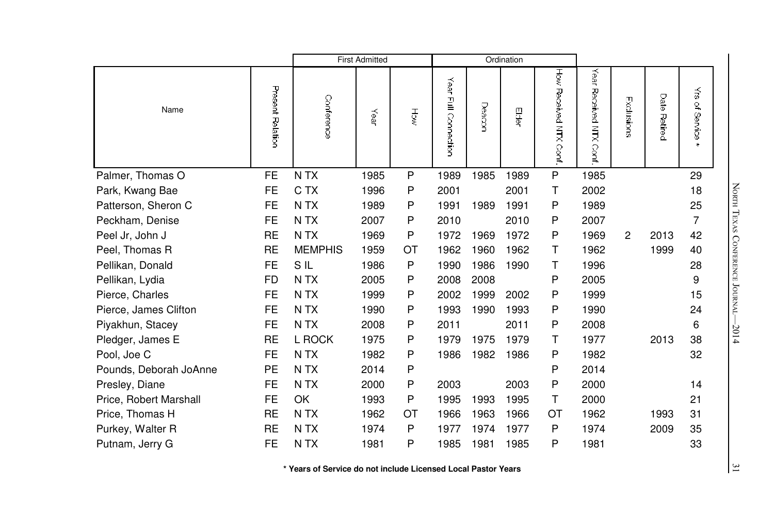|                        |                  |                  | <b>First Admitted</b> |    |                      |        | Ordination |                       |                                       |              |                 |                                      |
|------------------------|------------------|------------------|-----------------------|----|----------------------|--------|------------|-----------------------|---------------------------------------|--------------|-----------------|--------------------------------------|
| Name                   | Present Relation | Conference       | Year                  | Ψğ | Year Full Connection | Deacor | Elder      | How Hecerved NTX Cort | Year<br>Received NTX<br>$\frac{1}{2}$ | Exclusions   | Date<br>Retired | $\tilde{\vec s}$<br>of Service<br>s. |
| Palmer, Thomas O       | <b>FE</b>        | N TX             | 1985                  | P  | 1989                 | 1985   | 1989       | ${\sf P}$             | 1985                                  |              |                 | 29                                   |
| Park, Kwang Bae        | <b>FE</b>        | C TX             | 1996                  | P  | 2001                 |        | 2001       | Τ                     | 2002                                  |              |                 | 18                                   |
| Patterson, Sheron C    | FE               | N <sub>T</sub> X | 1989                  | P  | 1991                 | 1989   | 1991       | P                     | 1989                                  |              |                 | 25                                   |
| Peckham, Denise        | <b>FE</b>        | N TX             | 2007                  | P  | 2010                 |        | 2010       | P                     | 2007                                  |              |                 | 7                                    |
| Peel Jr, John J        | <b>RE</b>        | N TX             | 1969                  | P  | 1972                 | 1969   | 1972       | P                     | 1969                                  | $\mathbf{2}$ | 2013            | 42                                   |
| Peel, Thomas R         | <b>RE</b>        | <b>MEMPHIS</b>   | 1959                  | ОT | 1962                 | 1960   | 1962       | т                     | 1962                                  |              | 1999            | 40                                   |
| Pellikan, Donald       | <b>FE</b>        | SIL              | 1986                  | P  | 1990                 | 1986   | 1990       | Τ                     | 1996                                  |              |                 | 28                                   |
| Pellikan, Lydia        | FD               | N TX             | 2005                  | P  | 2008                 | 2008   |            | P                     | 2005                                  |              |                 | 9                                    |
| Pierce, Charles        | <b>FE</b>        | N <sub>T</sub> X | 1999                  | P  | 2002                 | 1999   | 2002       | P                     | 1999                                  |              |                 | 15                                   |
| Pierce, James Clifton  | <b>FE</b>        | N TX             | 1990                  | P  | 1993                 | 1990   | 1993       | P                     | 1990                                  |              |                 | 24                                   |
| Piyakhun, Stacey       | <b>FE</b>        | N <sub>T</sub> X | 2008                  | P  | 2011                 |        | 2011       | P                     | 2008                                  |              |                 | 6                                    |
| Pledger, James E       | <b>RE</b>        | L ROCK           | 1975                  | P  | 1979                 | 1975   | 1979       | Τ                     | 1977                                  |              | 2013            | 38                                   |
| Pool, Joe C            | FE               | N <sub>T</sub> X | 1982                  | P  | 1986                 | 1982   | 1986       | P                     | 1982                                  |              |                 | 32                                   |
| Pounds, Deborah JoAnne | <b>PE</b>        | N TX             | 2014                  | P  |                      |        |            | P                     | 2014                                  |              |                 |                                      |
| Presley, Diane         | <b>FE</b>        | N TX             | 2000                  | P  | 2003                 |        | 2003       | P                     | 2000                                  |              |                 | 14                                   |
| Price, Robert Marshall | <b>FE</b>        | OK               | 1993                  | P  | 1995                 | 1993   | 1995       | Τ                     | 2000                                  |              |                 | 21                                   |
| Price, Thomas H        | <b>RE</b>        | N TX             | 1962                  | OT | 1966                 | 1963   | 1966       | ОT                    | 1962                                  |              | 1993            | 31                                   |
| Purkey, Walter R       | <b>RE</b>        | N <sub>T</sub> X | 1974                  | P  | 1977                 | 1974   | 1977       | P                     | 1974                                  |              | 2009            | 35                                   |
| Putnam, Jerry G        | <b>FE</b>        | N <sub>T</sub> X | 1981                  | P  | 1985                 | 1981   | 1985       | P                     | 1981                                  |              |                 | 33                                   |

North TEXAS CONFERE e Journal—2014

 $\frac{31}{2}$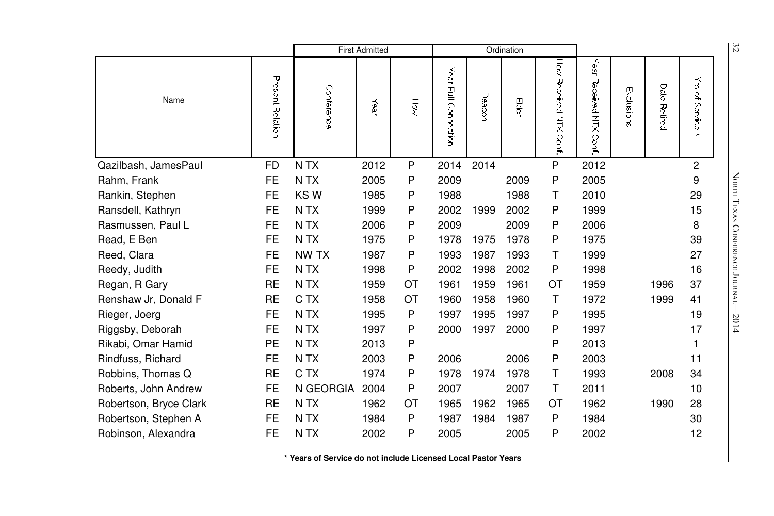|                        |                  |                  | <b>First Admitted</b> |    |                                                |        | Ordination |                           |                               |            |                        |                                         | 32                         |
|------------------------|------------------|------------------|-----------------------|----|------------------------------------------------|--------|------------|---------------------------|-------------------------------|------------|------------------------|-----------------------------------------|----------------------------|
| Name                   | Present Relation | Conference       | Year                  | Ηğ | Year<br>$\mathbf{\underline{F}}$<br>Connection | Deacor | Elder      | How Received NTX<br>Conf. | Year<br>Received NTX<br>Cont. | Exclusions | Date<br><b>Petired</b> | $\vec{\tilde{\omega}}$<br>્ર<br>Service |                            |
| Qazilbash, JamesPaul   | <b>FD</b>        | N TX             | 2012                  | P  | 2014                                           | 2014   |            | P                         | 2012                          |            |                        | $\overline{c}$                          |                            |
| Rahm, Frank            | <b>FE</b>        | N TX             | 2005                  | P  | 2009                                           |        | 2009       | P                         | 2005                          |            |                        | 9                                       | NORTH TEXAS                |
| Rankin, Stephen        | FE               | KS W             | 1985                  | P  | 1988                                           |        | 1988       | т                         | 2010                          |            |                        | 29                                      |                            |
| Ransdell, Kathryn      | <b>FE</b>        | N TX             | 1999                  | P  | 2002                                           | 1999   | 2002       | P                         | 1999                          |            |                        | 15                                      |                            |
| Rasmussen, Paul L      | <b>FE</b>        | N <sub>T</sub> X | 2006                  | P  | 2009                                           |        | 2009       | P                         | 2006                          |            |                        | 8                                       |                            |
| Read, E Ben            | <b>FE</b>        | N <sub>T</sub> X | 1975                  | Ρ  | 1978                                           | 1975   | 1978       | P                         | 1975                          |            |                        | 39                                      |                            |
| Reed, Clara            | FE               | NW TX            | 1987                  | P  | 1993                                           | 1987   | 1993       | Τ                         | 1999                          |            |                        | 27                                      |                            |
| Reedy, Judith          | <b>FE</b>        | N TX             | 1998                  | P  | 2002                                           | 1998   | 2002       | P                         | 1998                          |            |                        | 16                                      |                            |
| Regan, R Gary          | <b>RE</b>        | N <sub>T</sub> X | 1959                  | ОT | 1961                                           | 1959   | 1961       | ОT                        | 1959                          |            | 1996                   | 37                                      | <b>CONFERENCE JOURNAL-</b> |
| Renshaw Jr, Donald F   | <b>RE</b>        | C TX             | 1958                  | ОT | 1960                                           | 1958   | 1960       | Τ                         | 1972                          |            | 1999                   | 41                                      |                            |
| Rieger, Joerg          | <b>FE</b>        | N <sub>T</sub> X | 1995                  | P  | 1997                                           | 1995   | 1997       | P                         | 1995                          |            |                        | 19                                      | $-2014$                    |
| Riggsby, Deborah       | FE               | N TX             | 1997                  | P  | 2000                                           | 1997   | 2000       | P                         | 1997                          |            |                        | 17                                      |                            |
| Rikabi, Omar Hamid     | PE               | N <sub>T</sub> X | 2013                  | P  |                                                |        |            | P                         | 2013                          |            |                        |                                         |                            |
| Rindfuss, Richard      | FE               | N TX             | 2003                  | P  | 2006                                           |        | 2006       | P                         | 2003                          |            |                        | 11                                      |                            |
| Robbins, Thomas Q      | <b>RE</b>        | C TX             | 1974                  | P  | 1978                                           | 1974   | 1978       | T                         | 1993                          |            | 2008                   | 34                                      |                            |
| Roberts, John Andrew   | FE               | N GEORGIA        | 2004                  | P  | 2007                                           |        | 2007       | T                         | 2011                          |            |                        | 10                                      |                            |
| Robertson, Bryce Clark | <b>RE</b>        | N <sub>T</sub> X | 1962                  | ОT | 1965                                           | 1962   | 1965       | OT                        | 1962                          |            | 1990                   | 28                                      |                            |
| Robertson, Stephen A   | FE               | N TX             | 1984                  | P  | 1987                                           | 1984   | 1987       | P                         | 1984                          |            |                        | 30                                      |                            |
| Robinson, Alexandra    | <b>FE</b>        | N TX             | 2002                  | P  | 2005                                           |        | 2005       | P                         | 2002                          |            |                        | 12                                      |                            |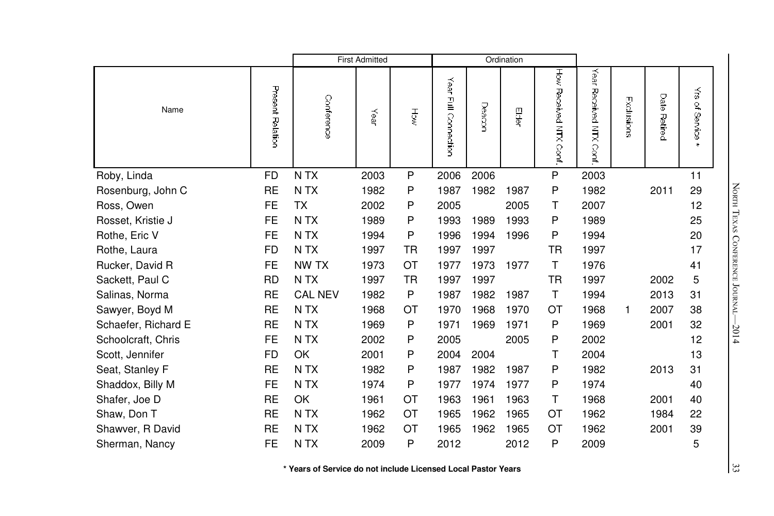|                     |                  |                  | <b>First Admitted</b> |    |                         |        | Ordination |                       |                               |            |              |                       |
|---------------------|------------------|------------------|-----------------------|----|-------------------------|--------|------------|-----------------------|-------------------------------|------------|--------------|-----------------------|
| Name                | Present Relation | Conference       | Year                  | Ψğ | Year<br>Full Connection | Deacon | 四          | How Received NTX Cont | Year<br>Received NTX<br>Conf. | Exclusions | Date Retired | ₹<br>of Service<br>s. |
| Roby, Linda         | <b>FD</b>        | N <sub>T</sub> X | 2003                  | P  | 2006                    | 2006   |            | P                     | 2003                          |            |              | 11                    |
| Rosenburg, John C   | <b>RE</b>        | N TX             | 1982                  | P  | 1987                    | 1982   | 1987       | P                     | 1982                          |            | 2011         | 29                    |
| Ross, Owen          | <b>FE</b>        | <b>TX</b>        | 2002                  | P  | 2005                    |        | 2005       | т                     | 2007                          |            |              | 12                    |
| Rosset, Kristie J   | <b>FE</b>        | N <sub>T</sub> X | 1989                  | P  | 1993                    | 1989   | 1993       | P                     | 1989                          |            |              | 25                    |
| Rothe, Eric V       | <b>FE</b>        | N <sub>T</sub> X | 1994                  | P  | 1996                    | 1994   | 1996       | P                     | 1994                          |            |              | 20                    |
| Rothe, Laura        | <b>FD</b>        | N <sub>T</sub> X | 1997                  | TR | 1997                    | 1997   |            | TR                    | 1997                          |            |              | 17                    |
| Rucker, David R     | <b>FE</b>        | NW TX            | 1973                  | OT | 1977                    | 1973   | 1977       | Τ                     | 1976                          |            |              | 41                    |
| Sackett, Paul C     | <b>RD</b>        | N <sub>T</sub> X | 1997                  | TR | 1997                    | 1997   |            | <b>TR</b>             | 1997                          |            | 2002         | 5                     |
| Salinas, Norma      | <b>RE</b>        | <b>CAL NEV</b>   | 1982                  | P  | 1987                    | 1982   | 1987       | т                     | 1994                          |            | 2013         | 31                    |
| Sawyer, Boyd M      | <b>RE</b>        | N TX             | 1968                  | OT | 1970                    | 1968   | 1970       | ОT                    | 1968                          | 1          | 2007         | 38                    |
| Schaefer, Richard E | <b>RE</b>        | N <sub>T</sub> X | 1969                  | P  | 1971                    | 1969   | 1971       | P                     | 1969                          |            | 2001         | 32                    |
| Schoolcraft, Chris  | <b>FE</b>        | N <sub>T</sub> X | 2002                  | P  | 2005                    |        | 2005       | P                     | 2002                          |            |              | 12                    |
| Scott, Jennifer     | FD               | OK               | 2001                  | P  | 2004                    | 2004   |            | т                     | 2004                          |            |              | 13                    |
| Seat, Stanley F     | <b>RE</b>        | N TX             | 1982                  | P  | 1987                    | 1982   | 1987       | P                     | 1982                          |            | 2013         | 31                    |
| Shaddox, Billy M    | <b>FE</b>        | N <sub>T</sub> X | 1974                  | P  | 1977                    | 1974   | 1977       | P                     | 1974                          |            |              | 40                    |
| Shafer, Joe D       | <b>RE</b>        | OK               | 1961                  | ОT | 1963                    | 1961   | 1963       | Τ                     | 1968                          |            | 2001         | 40                    |
| Shaw, Don T         | <b>RE</b>        | N <sub>T</sub> X | 1962                  | OT | 1965                    | 1962   | 1965       | OT                    | 1962                          |            | 1984         | 22                    |
| Shawver, R David    | <b>RE</b>        | N TX             | 1962                  | OT | 1965                    | 1962   | 1965       | OT                    | 1962                          |            | 2001         | 39                    |
| Sherman, Nancy      | <b>FE</b>        | N <sub>T</sub> X | 2009                  | P  | 2012                    |        | 2012       | P                     | 2009                          |            |              | 5                     |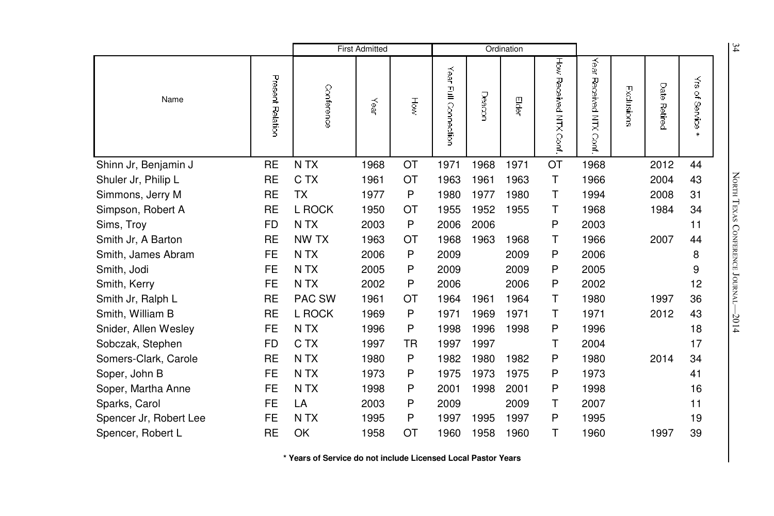|                        |                  |                  | <b>First Admitted</b> |           |                         |        | Ordination |                          |                              |            |                 |                                 |                            |  |
|------------------------|------------------|------------------|-----------------------|-----------|-------------------------|--------|------------|--------------------------|------------------------------|------------|-----------------|---------------------------------|----------------------------|--|
| Name                   | Present Relation | Conference       | Year                  | Höw       | Year<br>굍<br>Connection | Deacon | Elder      | How<br>Received NTX Conf | Year<br>Received NTX<br>Conf | Exclusions | Date<br>Retired | $\tilde{\vec{s}}$<br>of Service |                            |  |
| Shinn Jr, Benjamin J   | <b>RE</b>        | N <sub>T</sub> X | 1968                  | OT        | 1971                    | 1968   | 1971       | OT                       | 1968                         |            | 2012            | 44                              |                            |  |
| Shuler Jr, Philip L    | <b>RE</b>        | C TX             | 1961                  | OT        | 1963                    | 1961   | 1963       | T                        | 1966                         |            | 2004            | 43                              |                            |  |
| Simmons, Jerry M       | <b>RE</b>        | ТX               | 1977                  | P         | 1980                    | 1977   | 1980       | Τ                        | 1994                         |            | 2008            | 31                              | NORTH TEXAS                |  |
| Simpson, Robert A      | <b>RE</b>        | L ROCK           | 1950                  | ОT        | 1955                    | 1952   | 1955       | т                        | 1968                         |            | 1984            | 34                              |                            |  |
| Sims, Troy             | <b>FD</b>        | N TX             | 2003                  | P         | 2006                    | 2006   |            | P                        | 2003                         |            |                 | 11                              |                            |  |
| Smith Jr, A Barton     | <b>RE</b>        | NW TX            | 1963                  | OT        | 1968                    | 1963   | 1968       | Τ                        | 1966                         |            | 2007            | 44                              |                            |  |
| Smith, James Abram     | FE               | N TX             | 2006                  | P         | 2009                    |        | 2009       | P                        | 2006                         |            |                 | 8                               |                            |  |
| Smith, Jodi            | FE               | N TX             | 2005                  | P         | 2009                    |        | 2009       | P                        | 2005                         |            |                 | 9                               |                            |  |
| Smith, Kerry           | <b>FE</b>        | N TX             | 2002                  | P         | 2006                    |        | 2006       | P                        | 2002                         |            |                 | 12                              | <b>CONFERENCE JOURNAL-</b> |  |
| Smith Jr, Ralph L      | <b>RE</b>        | PAC SW           | 1961                  | ОT        | 1964                    | 1961   | 1964       | T                        | 1980                         |            | 1997            | 36                              |                            |  |
| Smith, William B       | <b>RE</b>        | L ROCK           | 1969                  | P         | 1971                    | 1969   | 1971       | Τ                        | 1971                         |            | 2012            | 43                              | $-2014$                    |  |
| Snider, Allen Wesley   | <b>FE</b>        | N TX             | 1996                  | P         | 1998                    | 1996   | 1998       | P                        | 1996                         |            |                 | 18                              |                            |  |
| Sobczak, Stephen       | <b>FD</b>        | C TX             | 1997                  | <b>TR</b> | 1997                    | 1997   |            | Τ                        | 2004                         |            |                 | 17                              |                            |  |
| Somers-Clark, Carole   | <b>RE</b>        | N TX             | 1980                  | P         | 1982                    | 1980   | 1982       | P                        | 1980                         |            | 2014            | 34                              |                            |  |
| Soper, John B          | <b>FE</b>        | N <sub>T</sub> X | 1973                  | P         | 1975                    | 1973   | 1975       | P                        | 1973                         |            |                 | 41                              |                            |  |
| Soper, Martha Anne     | <b>FE</b>        | N TX             | 1998                  | Ρ         | 2001                    | 1998   | 2001       | P                        | 1998                         |            |                 | 16                              |                            |  |
| Sparks, Carol          | <b>FE</b>        | LA               | 2003                  | P         | 2009                    |        | 2009       | Τ                        | 2007                         |            |                 | 11                              |                            |  |
| Spencer Jr, Robert Lee | FE               | N <sub>T</sub> X | 1995                  | P         | 1997                    | 1995   | 1997       | P                        | 1995                         |            |                 | 19                              |                            |  |
| Spencer, Robert L      | <b>RE</b>        | OK               | 1958                  | ОT        | 1960                    | 1958   | 1960       | Τ                        | 1960                         |            | 1997            | 39                              |                            |  |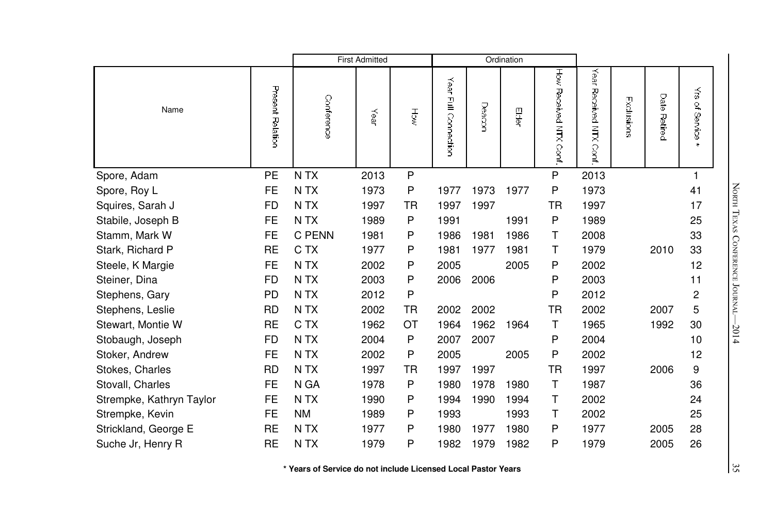|                          |                  |                  | <b>First Admitted</b> |           |                      |        | Ordination |                       |                              |            |              |                                           |
|--------------------------|------------------|------------------|-----------------------|-----------|----------------------|--------|------------|-----------------------|------------------------------|------------|--------------|-------------------------------------------|
| Name                     | Present Relation | Conference       | Year                  | हुँ       | Year Full Connection | Deacon | Elder      | How Received NTX Cont | Year<br>Received NTX<br>Conf | Exclusions | Date Retired | $\tilde{\vec{v}}$<br>of Service<br>$\ast$ |
| Spore, Adam              | PE               | N <sub>T</sub> X | 2013                  | P         |                      |        |            | P                     | 2013                         |            |              |                                           |
| Spore, Roy L             | <b>FE</b>        | N <sub>T</sub> X | 1973                  | P         | 1977                 | 1973   | 1977       | P                     | 1973                         |            |              | 41                                        |
| Squires, Sarah J         | <b>FD</b>        | N <sub>T</sub> X | 1997                  | <b>TR</b> | 1997                 | 1997   |            | <b>TR</b>             | 1997                         |            |              | 17                                        |
| Stabile, Joseph B        | <b>FE</b>        | N TX             | 1989                  | P         | 1991                 |        | 1991       | P                     | 1989                         |            |              | 25                                        |
| Stamm, Mark W            | <b>FE</b>        | C PENN           | 1981                  | P         | 1986                 | 1981   | 1986       | Τ                     | 2008                         |            |              | 33                                        |
| Stark, Richard P         | <b>RE</b>        | C TX             | 1977                  | P         | 1981                 | 1977   | 1981       | т                     | 1979                         |            | 2010         | 33                                        |
| Steele, K Margie         | <b>FE</b>        | N <sub>T</sub> X | 2002                  | P         | 2005                 |        | 2005       | P                     | 2002                         |            |              | 12                                        |
| Steiner, Dina            | <b>FD</b>        | N <sub>T</sub> X | 2003                  | P         | 2006                 | 2006   |            | P                     | 2003                         |            |              | 11                                        |
| Stephens, Gary           | <b>PD</b>        | N TX             | 2012                  | P         |                      |        |            | P                     | 2012                         |            |              | 2                                         |
| Stephens, Leslie         | <b>RD</b>        | N TX             | 2002                  | TR        | 2002                 | 2002   |            | TR                    | 2002                         |            | 2007         | 5                                         |
| Stewart, Montie W        | <b>RE</b>        | C TX             | 1962                  | OT        | 1964                 | 1962   | 1964       | Τ                     | 1965                         |            | 1992         | 30                                        |
| Stobaugh, Joseph         | <b>FD</b>        | N <sub>T</sub> X | 2004                  | P         | 2007                 | 2007   |            | P                     | 2004                         |            |              | 10                                        |
| Stoker, Andrew           | <b>FE</b>        | N <sub>T</sub> X | 2002                  | P         | 2005                 |        | 2005       | P                     | 2002                         |            |              | 12                                        |
| Stokes, Charles          | <b>RD</b>        | N TX             | 1997                  | TR        | 1997                 | 1997   |            | ТR                    | 1997                         |            | 2006         | 9                                         |
| Stovall, Charles         | <b>FE</b>        | N GA             | 1978                  | P         | 1980                 | 1978   | 1980       | т                     | 1987                         |            |              | 36                                        |
| Strempke, Kathryn Taylor | <b>FE</b>        | N <sub>T</sub> X | 1990                  | P         | 1994                 | 1990   | 1994       | Τ                     | 2002                         |            |              | 24                                        |
| Strempke, Kevin          | <b>FE</b>        | <b>NM</b>        | 1989                  | P         | 1993                 |        | 1993       | Τ                     | 2002                         |            |              | 25                                        |
| Strickland, George E     | <b>RE</b>        | N <sub>T</sub> X | 1977                  | P         | 1980                 | 1977   | 1980       | P                     | 1977                         |            | 2005         | 28                                        |
| Suche Jr, Henry R        | <b>RE</b>        | N <sub>T</sub> X | 1979                  | P         | 1982                 | 1979   | 1982       | P                     | 1979                         |            | 2005         | 26                                        |

North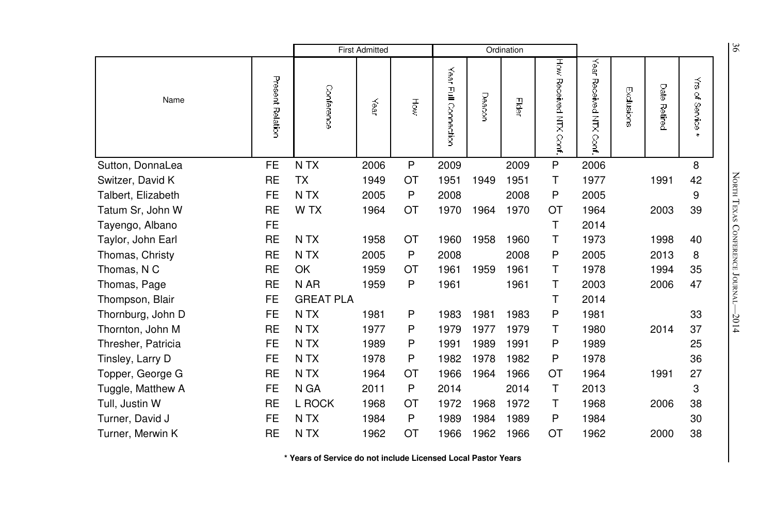|                    |                  |                  | <b>First Admitted</b> |             |                         |        | Ordination |                           |                               |            |                        |                                                   | 96                         |
|--------------------|------------------|------------------|-----------------------|-------------|-------------------------|--------|------------|---------------------------|-------------------------------|------------|------------------------|---------------------------------------------------|----------------------------|
| Name               | Present Relation | Conference       | Year                  | Hộw         | Year<br>Full Connection | Deacor | Elder      | How Received NTX<br>Conf. | Year<br>Received NTX<br>Cont. | Exclusions | Date<br><b>Retired</b> | $\vec{\tilde{\omega}}$<br>ु<br>Service<br>Service |                            |
| Sutton, DonnaLea   | <b>FE</b>        | N TX             | 2006                  | $\mathsf P$ | 2009                    |        | 2009       | ${\sf P}$                 | 2006                          |            |                        | 8                                                 |                            |
| Switzer, David K   | <b>RE</b>        | <b>TX</b>        | 1949                  | OT          | 1951                    | 1949   | 1951       | T                         | 1977                          |            | 1991                   | 42                                                | NORTH TEXAS                |
| Talbert, Elizabeth | <b>FE</b>        | N <sub>T</sub> X | 2005                  | P           | 2008                    |        | 2008       | P                         | 2005                          |            |                        | 9                                                 |                            |
| Tatum Sr, John W   | <b>RE</b>        | W TX             | 1964                  | ОT          | 1970                    | 1964   | 1970       | ОT                        | 1964                          |            | 2003                   | 39                                                |                            |
| Tayengo, Albano    | <b>FE</b>        |                  |                       |             |                         |        |            | T                         | 2014                          |            |                        |                                                   |                            |
| Taylor, John Earl  | <b>RE</b>        | N <sub>T</sub> X | 1958                  | OT          | 1960                    | 1958   | 1960       | т                         | 1973                          |            | 1998                   | 40                                                |                            |
| Thomas, Christy    | <b>RE</b>        | N TX             | 2005                  | P           | 2008                    |        | 2008       | P                         | 2005                          |            | 2013                   | 8                                                 |                            |
| Thomas, N C        | <b>RE</b>        | OK               | 1959                  | ОT          | 1961                    | 1959   | 1961       | т                         | 1978                          |            | 1994                   | 35                                                |                            |
| Thomas, Page       | <b>RE</b>        | N AR             | 1959                  | P           | 1961                    |        | 1961       | т                         | 2003                          |            | 2006                   | 47                                                | <b>CONFERENCE JOURNAL-</b> |
| Thompson, Blair    | FE               | <b>GREAT PLA</b> |                       |             |                         |        |            | T                         | 2014                          |            |                        |                                                   |                            |
| Thornburg, John D  | <b>FE</b>        | N TX             | 1981                  | P           | 1983                    | 1981   | 1983       | P                         | 1981                          |            |                        | 33                                                | $-2014$                    |
| Thornton, John M   | <b>RE</b>        | N TX             | 1977                  | Ρ           | 1979                    | 1977   | 1979       | Τ                         | 1980                          |            | 2014                   | 37                                                |                            |
| Thresher, Patricia | <b>FE</b>        | N TX             | 1989                  | P           | 1991                    | 1989   | 1991       | P                         | 1989                          |            |                        | 25                                                |                            |
| Tinsley, Larry D   | FE.              | N TX             | 1978                  | P           | 1982                    | 1978   | 1982       | P                         | 1978                          |            |                        | 36                                                |                            |
| Topper, George G   | <b>RE</b>        | N <sub>T</sub> X | 1964                  | ОT          | 1966                    | 1964   | 1966       | ОT                        | 1964                          |            | 1991                   | 27                                                |                            |
| Tuggle, Matthew A  | <b>FE</b>        | N GA             | 2011                  | P           | 2014                    |        | 2014       | $\mathsf{T}$              | 2013                          |            |                        | 3                                                 |                            |
| Tull, Justin W     | <b>RE</b>        | L ROCK           | 1968                  | OT          | 1972                    | 1968   | 1972       | Τ                         | 1968                          |            | 2006                   | 38                                                |                            |
| Turner, David J    | FE.              | N <sub>T</sub> X | 1984                  | P           | 1989                    | 1984   | 1989       | P                         | 1984                          |            |                        | 30                                                |                            |
| Turner, Merwin K   | <b>RE</b>        | N TX             | 1962                  | ОT          | 1966                    | 1962   | 1966       | ОT                        | 1962                          |            | 2000                   | 38                                                |                            |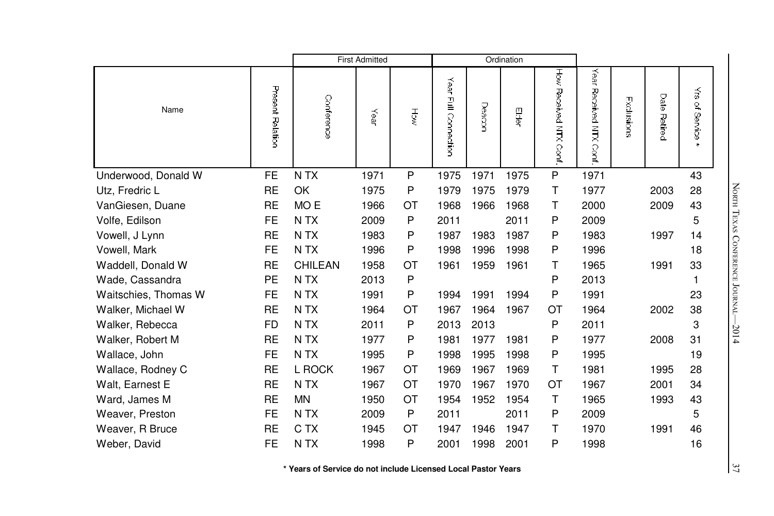|                      |                  |                  | <b>First Admitted</b> |           |                         |        | Ordination |                       |                           |            |              |                           |
|----------------------|------------------|------------------|-----------------------|-----------|-------------------------|--------|------------|-----------------------|---------------------------|------------|--------------|---------------------------|
| Name                 | Present Relation | Conference       | Year                  | Hộ        | Year<br>Full Connection | Deacor | e<br>S     | How Received NTX Cont | Year<br>Received NTX Cont | Exclusions | Date Retired | ₹<br>of Service<br>$\ast$ |
| Underwood, Donald W  | FE               | N <sub>T</sub> X | 1971                  | P         | 1975                    | 1971   | 1975       | ${\sf P}$             | 1971                      |            |              | 43                        |
| Utz, Fredric L       | <b>RE</b>        | OK               | 1975                  | P         | 1979                    | 1975   | 1979       | Τ                     | 1977                      |            | 2003         | 28                        |
| VanGiesen, Duane     | <b>RE</b>        | MO <sub>E</sub>  | 1966                  | OT        | 1968                    | 1966   | 1968       | т                     | 2000                      |            | 2009         | 43                        |
| Volfe, Edilson       | <b>FE</b>        | N <sub>T</sub> X | 2009                  | P         | 2011                    |        | 2011       | P                     | 2009                      |            |              | 5                         |
| Vowell, J Lynn       | <b>RE</b>        | N <sub>T</sub> X | 1983                  | P         | 1987                    | 1983   | 1987       | P                     | 1983                      |            | 1997         | 14                        |
| Vowell, Mark         | <b>FE</b>        | N <sub>T</sub> X | 1996                  | P         | 1998                    | 1996   | 1998       | P                     | 1996                      |            |              | 18                        |
| Waddell, Donald W    | <b>RE</b>        | <b>CHILEAN</b>   | 1958                  | OT        | 1961                    | 1959   | 1961       | Τ                     | 1965                      |            | 1991         | 33                        |
| Wade, Cassandra      | <b>PE</b>        | N TX             | 2013                  | P         |                         |        |            | P                     | 2013                      |            |              |                           |
| Waitschies, Thomas W | <b>FE</b>        | N TX             | 1991                  | P         | 1994                    | 1991   | 1994       | P                     | 1991                      |            |              | 23                        |
| Walker, Michael W    | <b>RE</b>        | N TX             | 1964                  | OT        | 1967                    | 1964   | 1967       | ОT                    | 1964                      |            | 2002         | 38                        |
| Walker, Rebecca      | <b>FD</b>        | N TX             | 2011                  | P         | 2013                    | 2013   |            | P                     | 2011                      |            |              | 3                         |
| Walker, Robert M     | <b>RE</b>        | N <sub>T</sub> X | 1977                  | P         | 1981                    | 1977   | 1981       | P                     | 1977                      |            | 2008         | 31                        |
| Wallace, John        | <b>FE</b>        | N TX             | 1995                  | P         | 1998                    | 1995   | 1998       | P                     | 1995                      |            |              | 19                        |
| Wallace, Rodney C    | <b>RE</b>        | L ROCK           | 1967                  | OT        | 1969                    | 1967   | 1969       | т                     | 1981                      |            | 1995         | 28                        |
| Walt, Earnest E      | RE               | N <sub>T</sub> X | 1967                  | <b>OT</b> | 1970                    | 1967   | 1970       | ОT                    | 1967                      |            | 2001         | 34                        |
| Ward, James M        | <b>RE</b>        | <b>MN</b>        | 1950                  | OT        | 1954                    | 1952   | 1954       | T                     | 1965                      |            | 1993         | 43                        |
| Weaver, Preston      | <b>FE</b>        | N <sub>T</sub> X | 2009                  | P         | 2011                    |        | 2011       | P                     | 2009                      |            |              | 5                         |
| Weaver, R Bruce      | <b>RE</b>        | C TX             | 1945                  | OT        | 1947                    | 1946   | 1947       | т                     | 1970                      |            | 1991         | 46                        |
| Weber, David         | <b>FE</b>        | N TX             | 1998                  | P         | 2001                    | 1998   | 2001       | P                     | 1998                      |            |              | 16                        |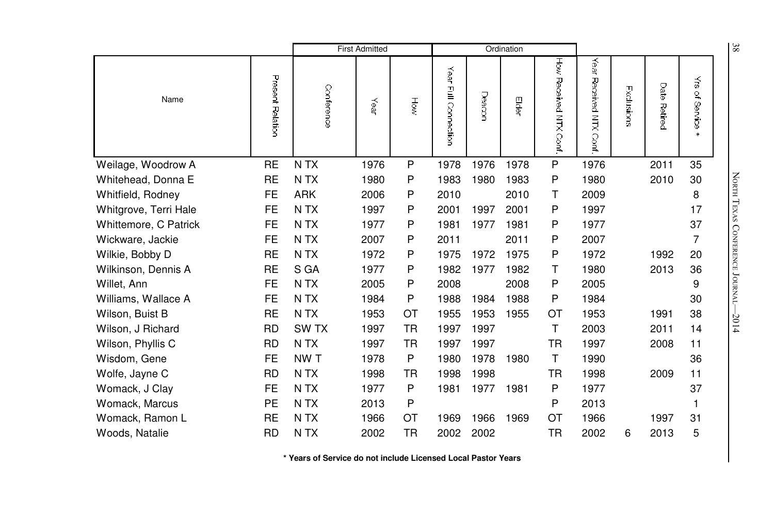|                       |                  | <b>First Admitted</b><br>Ordination |      |           |                         |        |       |                              | $\frac{8}{6}$                |            |                 |                                 |                            |
|-----------------------|------------------|-------------------------------------|------|-----------|-------------------------|--------|-------|------------------------------|------------------------------|------------|-----------------|---------------------------------|----------------------------|
| Name                  | Present Relation | Conference                          | Year | Höw       | Year<br>Full Connection | Deacon | Elder | HōW<br>Received NTX<br>Conf. | Year<br>Received NTX<br>Conf | Exclusions | Date<br>Retired | $\tilde{\vec{s}}$<br>of Service |                            |
| Weilage, Woodrow A    | <b>RE</b>        | N <sub>T</sub> X                    | 1976 | P         | 1978                    | 1976   | 1978  | P                            | 1976                         |            | 2011            | 35                              |                            |
| Whitehead, Donna E    | <b>RE</b>        | N TX                                | 1980 | P         | 1983                    | 1980   | 1983  | P                            | 1980                         |            | 2010            | 30                              | NORTH TEXAS                |
| Whitfield, Rodney     | <b>FE</b>        | <b>ARK</b>                          | 2006 | P         | 2010                    |        | 2010  | Τ                            | 2009                         |            |                 | 8                               |                            |
| Whitgrove, Terri Hale | <b>FE</b>        | N TX                                | 1997 | P         | 2001                    | 1997   | 2001  | P                            | 1997                         |            |                 | 17                              |                            |
| Whittemore, C Patrick | <b>FE</b>        | N <sub>T</sub> X                    | 1977 | P         | 1981                    | 1977   | 1981  | P                            | 1977                         |            |                 | 37                              |                            |
| Wickware, Jackie      | <b>FE</b>        | N TX                                | 2007 | P         | 2011                    |        | 2011  | P                            | 2007                         |            |                 | 7                               |                            |
| Wilkie, Bobby D       | <b>RE</b>        | N TX                                | 1972 | P         | 1975                    | 1972   | 1975  | P                            | 1972                         |            | 1992            | 20                              |                            |
| Wilkinson, Dennis A   | <b>RE</b>        | S GA                                | 1977 | P         | 1982                    | 1977   | 1982  | т                            | 1980                         |            | 2013            | 36                              |                            |
| Willet, Ann           | <b>FE</b>        | N TX                                | 2005 | P         | 2008                    |        | 2008  | P                            | 2005                         |            |                 | 9                               | <b>CONFERENCE JOURNAL-</b> |
| Williams, Wallace A   | <b>FE</b>        | N TX                                | 1984 | P         | 1988                    | 1984   | 1988  | P                            | 1984                         |            |                 | 30                              |                            |
| Wilson, Buist B       | <b>RE</b>        | N TX                                | 1953 | ОT        | 1955                    | 1953   | 1955  | ОT                           | 1953                         |            | 1991            | 38                              | $-2014$                    |
| Wilson, J Richard     | <b>RD</b>        | SW TX                               | 1997 | <b>TR</b> | 1997                    | 1997   |       | T                            | 2003                         |            | 2011            | 14                              |                            |
| Wilson, Phyllis C     | <b>RD</b>        | N TX                                | 1997 | TR        | 1997                    | 1997   |       | <b>TR</b>                    | 1997                         |            | 2008            | 11                              |                            |
| Wisdom, Gene          | <b>FE</b>        | NW T                                | 1978 | P         | 1980                    | 1978   | 1980  | т                            | 1990                         |            |                 | 36                              |                            |
| Wolfe, Jayne C        | <b>RD</b>        | N TX                                | 1998 | TR        | 1998                    | 1998   |       | <b>TR</b>                    | 1998                         |            | 2009            | 11                              |                            |
| Womack, J Clay        | <b>FE</b>        | N <sub>T</sub> X                    | 1977 | P         | 1981                    | 1977   | 1981  | P                            | 1977                         |            |                 | 37                              |                            |
| Womack, Marcus        | PE               | N TX                                | 2013 | Ρ         |                         |        |       | P                            | 2013                         |            |                 |                                 |                            |
| Womack, Ramon L       | <b>RE</b>        | N TX                                | 1966 | ОT        | 1969                    | 1966   | 1969  | OT                           | 1966                         |            | 1997            | 31                              |                            |
| Woods, Natalie        | <b>RD</b>        | N TX                                | 2002 | TR        | 2002                    | 2002   |       | <b>TR</b>                    | 2002                         | 6          | 2013            | 5                               |                            |